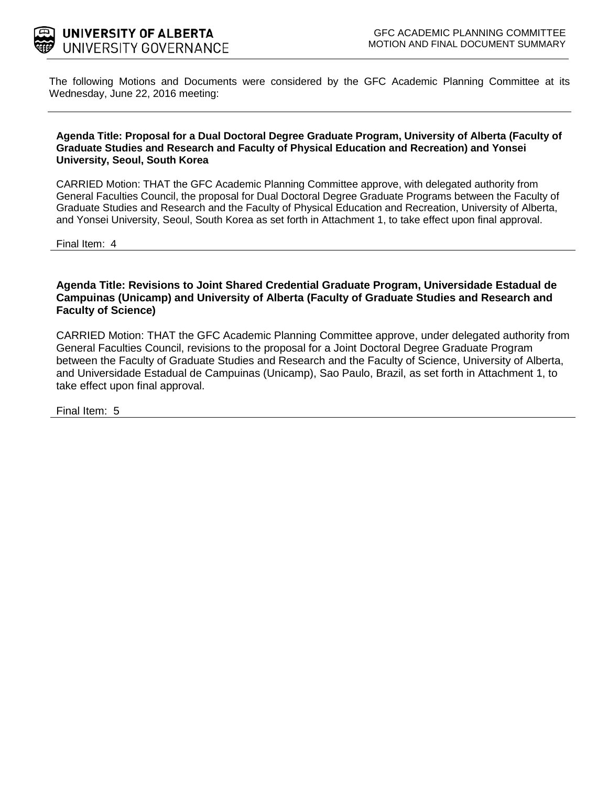

The following Motions and Documents were considered by the GFC Academic Planning Committee at its Wednesday, June 22, 2016 meeting:

#### **Agenda Title: Proposal for a Dual Doctoral Degree Graduate Program, University of Alberta (Faculty of Graduate Studies and Research and Faculty of Physical Education and Recreation) and Yonsei University, Seoul, South Korea**

CARRIED Motion: THAT the GFC Academic Planning Committee approve, with delegated authority from General Faculties Council, the proposal for Dual Doctoral Degree Graduate Programs between the Faculty of Graduate Studies and Research and the Faculty of Physical Education and Recreation, University of Alberta, and Yonsei University, Seoul, South Korea as set forth in Attachment 1, to take effect upon final approval.

Final Item: 4

**Agenda Title: Revisions to Joint Shared Credential Graduate Program, Universidade Estadual de Campuinas (Unicamp) and University of Alberta (Faculty of Graduate Studies and Research and Faculty of Science)** 

CARRIED Motion: THAT the GFC Academic Planning Committee approve, under delegated authority from General Faculties Council, revisions to the proposal for a Joint Doctoral Degree Graduate Program between the Faculty of Graduate Studies and Research and the Faculty of Science, University of Alberta, and Universidade Estadual de Campuinas (Unicamp), Sao Paulo, Brazil, as set forth in Attachment 1, to take effect upon final approval.

Final Item: 5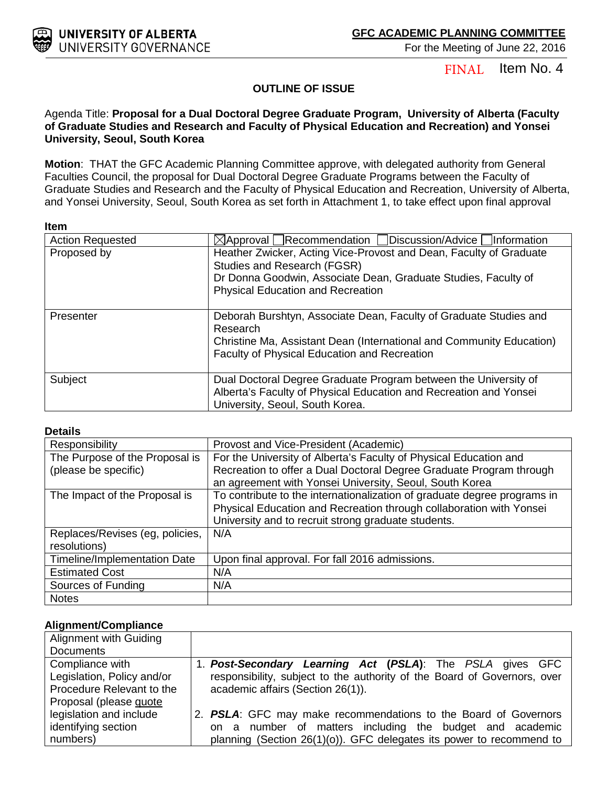Item No. 4 FINAL

### **OUTLINE OF ISSUE**

### Agenda Title: **Proposal for a Dual Doctoral Degree Graduate Program, University of Alberta (Faculty of Graduate Studies and Research and Faculty of Physical Education and Recreation) and Yonsei University, Seoul, South Korea**

**Motion**: THAT the GFC Academic Planning Committee approve, with delegated authority from General Faculties Council, the proposal for Dual Doctoral Degree Graduate Programs between the Faculty of Graduate Studies and Research and the Faculty of Physical Education and Recreation, University of Alberta, and Yonsei University, Seoul, South Korea as set forth in Attachment 1, to take effect upon final approval

#### **Item**

| <b>Action Requested</b> | $\boxtimes$ Approval Recommendation Discussion/Advice Information                                                                                                                                               |
|-------------------------|-----------------------------------------------------------------------------------------------------------------------------------------------------------------------------------------------------------------|
| Proposed by             | Heather Zwicker, Acting Vice-Provost and Dean, Faculty of Graduate<br>Studies and Research (FGSR)<br>Dr Donna Goodwin, Associate Dean, Graduate Studies, Faculty of<br><b>Physical Education and Recreation</b> |
| Presenter               | Deborah Burshtyn, Associate Dean, Faculty of Graduate Studies and<br>Research<br>Christine Ma, Assistant Dean (International and Community Education)<br>Faculty of Physical Education and Recreation           |
| Subject                 | Dual Doctoral Degree Graduate Program between the University of<br>Alberta's Faculty of Physical Education and Recreation and Yonsei<br>University, Seoul, South Korea.                                         |

#### **Details**

| Responsibility                      | Provost and Vice-President (Academic)                                    |
|-------------------------------------|--------------------------------------------------------------------------|
| The Purpose of the Proposal is      | For the University of Alberta's Faculty of Physical Education and        |
| (please be specific)                | Recreation to offer a Dual Doctoral Degree Graduate Program through      |
|                                     | an agreement with Yonsei University, Seoul, South Korea                  |
| The Impact of the Proposal is       | To contribute to the internationalization of graduate degree programs in |
|                                     | Physical Education and Recreation through collaboration with Yonsei      |
|                                     | University and to recruit strong graduate students.                      |
| Replaces/Revises (eg, policies,     | N/A                                                                      |
| resolutions)                        |                                                                          |
| <b>Timeline/Implementation Date</b> | Upon final approval. For fall 2016 admissions.                           |
| <b>Estimated Cost</b>               | N/A                                                                      |
| Sources of Funding                  | N/A                                                                      |
| <b>Notes</b>                        |                                                                          |

#### **Alignment/Compliance**

| Alignment with Guiding     |                                                                          |
|----------------------------|--------------------------------------------------------------------------|
| <b>Documents</b>           |                                                                          |
| Compliance with            | 1. Post-Secondary Learning Act (PSLA): The PSLA gives GFC                |
| Legislation, Policy and/or | responsibility, subject to the authority of the Board of Governors, over |
| Procedure Relevant to the  | academic affairs (Section 26(1)).                                        |
| Proposal (please quote     |                                                                          |
| legislation and include    | 2. PSLA: GFC may make recommendations to the Board of Governors          |
| identifying section        | on a number of matters including the budget and academic                 |
| numbers)                   | planning (Section 26(1)(o)). GFC delegates its power to recommend to     |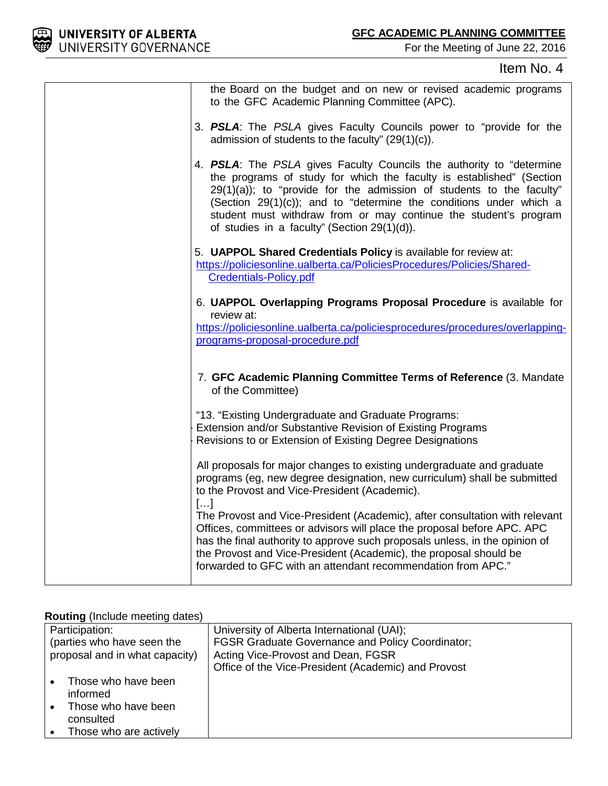

### Item No. 4



#### **Routing** (Include meeting dates)

| Participation:                   | University of Alberta International (UAI);              |
|----------------------------------|---------------------------------------------------------|
| (parties who have seen the       | <b>FGSR Graduate Governance and Policy Coordinator;</b> |
| proposal and in what capacity)   | Acting Vice-Provost and Dean, FGSR                      |
|                                  | Office of the Vice-President (Academic) and Provost     |
| Those who have been<br>informed  |                                                         |
| Those who have been<br>consulted |                                                         |
| Those who are actively           |                                                         |

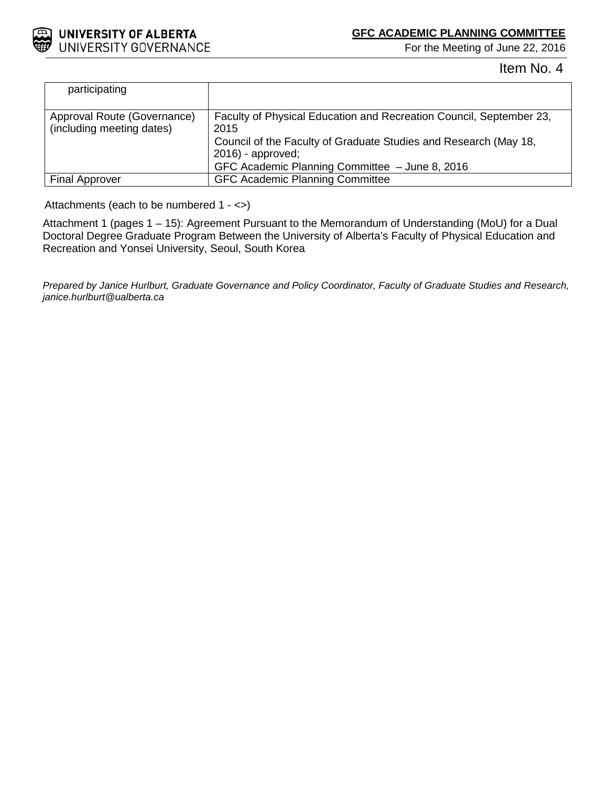

Item No. 4

| participating                                            |                                                                                                                                          |
|----------------------------------------------------------|------------------------------------------------------------------------------------------------------------------------------------------|
| Approval Route (Governance)<br>(including meeting dates) | Faculty of Physical Education and Recreation Council, September 23,<br>2015                                                              |
|                                                          | Council of the Faculty of Graduate Studies and Research (May 18,<br>$2016$ - approved;<br>GFC Academic Planning Committee - June 8, 2016 |
| <b>Final Approver</b>                                    | <b>GFC Academic Planning Committee</b>                                                                                                   |

Attachments (each to be numbered 1 - <>)

Attachment 1 (pages 1 – 15): Agreement Pursuant to the Memorandum of Understanding (MoU) for a Dual Doctoral Degree Graduate Program Between the University of Alberta's Faculty of Physical Education and Recreation and Yonsei University, Seoul, South Korea

*Prepared by Janice Hurlburt, Graduate Governance and Policy Coordinator, Faculty of Graduate Studies and Research, janice.hurlburt@ualberta.ca*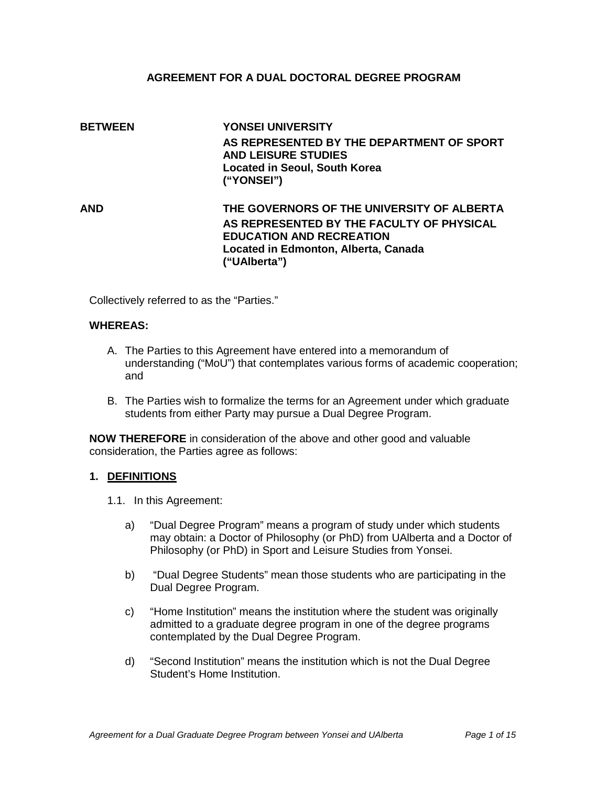### **AGREEMENT FOR A DUAL DOCTORAL DEGREE PROGRAM**

## **BETWEEN YONSEI UNIVERSITY AS REPRESENTED BY THE DEPARTMENT OF SPORT AND LEISURE STUDIES Located in Seoul, South Korea ("YONSEI") AND THE GOVERNORS OF THE UNIVERSITY OF ALBERTA AS REPRESENTED BY THE FACULTY OF PHYSICAL EDUCATION AND RECREATION Located in Edmonton, Alberta, Canada ("UAlberta")**

Collectively referred to as the "Parties."

#### **WHEREAS:**

- A. The Parties to this Agreement have entered into a memorandum of understanding ("MoU") that contemplates various forms of academic cooperation; and
- B. The Parties wish to formalize the terms for an Agreement under which graduate students from either Party may pursue a Dual Degree Program.

**NOW THEREFORE** in consideration of the above and other good and valuable consideration, the Parties agree as follows:

#### **1. DEFINITIONS**

- 1.1. In this Agreement:
	- a) "Dual Degree Program" means a program of study under which students may obtain: a Doctor of Philosophy (or PhD) from UAlberta and a Doctor of Philosophy (or PhD) in Sport and Leisure Studies from Yonsei.
	- b) "Dual Degree Students" mean those students who are participating in the Dual Degree Program.
	- c) "Home Institution" means the institution where the student was originally admitted to a graduate degree program in one of the degree programs contemplated by the Dual Degree Program.
	- d) "Second Institution" means the institution which is not the Dual Degree Student's Home Institution.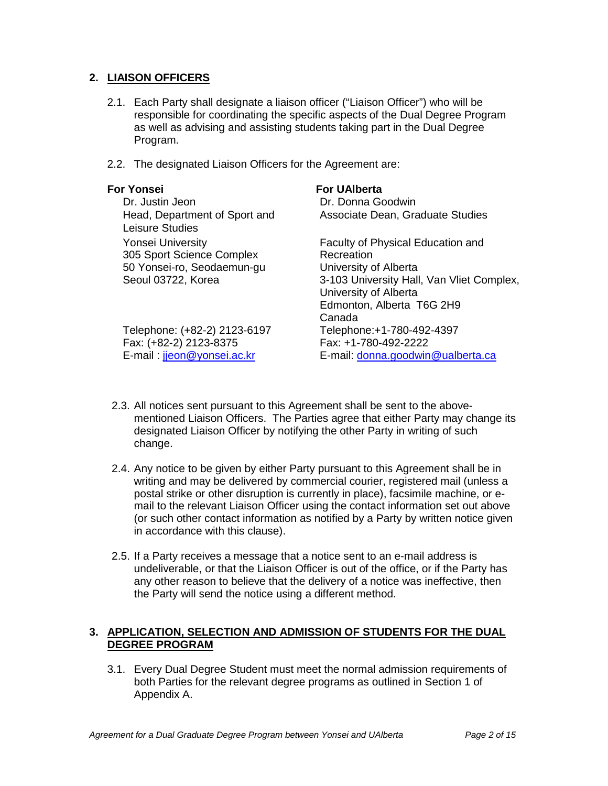### **2. LIAISON OFFICERS**

- 2.1. Each Party shall designate a liaison officer ("Liaison Officer") who will be responsible for coordinating the specific aspects of the Dual Degree Program as well as advising and assisting students taking part in the Dual Degree Program.
- 2.2. The designated Liaison Officers for the Agreement are:

### **For Yonsei For UAlberta**

|                                                  | ו טו טראפים                               |
|--------------------------------------------------|-------------------------------------------|
| Dr. Justin Jeon                                  | Dr. Donna Goodwin                         |
| Head, Department of Sport and<br>Leisure Studies | Associate Dean, Graduate Studies          |
|                                                  |                                           |
| <b>Yonsei University</b>                         | Faculty of Physical Education and         |
| 305 Sport Science Complex                        | Recreation                                |
| 50 Yonsei-ro, Seodaemun-gu                       | University of Alberta                     |
| Seoul 03722, Korea                               | 3-103 University Hall, Van Vliet Complex, |
|                                                  | University of Alberta                     |
|                                                  | Edmonton, Alberta T6G 2H9                 |
|                                                  | Canada                                    |
| Telephone: (+82-2) 2123-6197                     | Telephone:+1-780-492-4397                 |
| Fax: (+82-2) 2123-8375                           | Fax: +1-780-492-2222                      |
| E-mail: jjeon@yonsei.ac.kr                       | E-mail: donna.goodwin@ualberta.ca         |
|                                                  |                                           |

- 2.3. All notices sent pursuant to this Agreement shall be sent to the abovementioned Liaison Officers. The Parties agree that either Party may change its designated Liaison Officer by notifying the other Party in writing of such change.
- 2.4. Any notice to be given by either Party pursuant to this Agreement shall be in writing and may be delivered by commercial courier, registered mail (unless a postal strike or other disruption is currently in place), facsimile machine, or email to the relevant Liaison Officer using the contact information set out above (or such other contact information as notified by a Party by written notice given in accordance with this clause).
- 2.5. If a Party receives a message that a notice sent to an e-mail address is undeliverable, or that the Liaison Officer is out of the office, or if the Party has any other reason to believe that the delivery of a notice was ineffective, then the Party will send the notice using a different method.

### **3. APPLICATION, SELECTION AND ADMISSION OF STUDENTS FOR THE DUAL DEGREE PROGRAM**

3.1. Every Dual Degree Student must meet the normal admission requirements of both Parties for the relevant degree programs as outlined in Section 1 of Appendix A.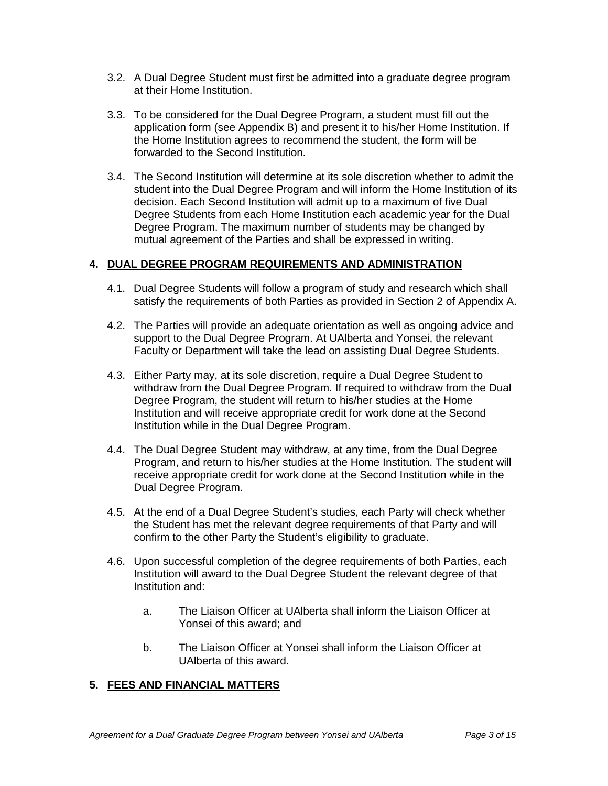- 3.2. A Dual Degree Student must first be admitted into a graduate degree program at their Home Institution.
- 3.3. To be considered for the Dual Degree Program, a student must fill out the application form (see Appendix B) and present it to his/her Home Institution. If the Home Institution agrees to recommend the student, the form will be forwarded to the Second Institution.
- 3.4. The Second Institution will determine at its sole discretion whether to admit the student into the Dual Degree Program and will inform the Home Institution of its decision. Each Second Institution will admit up to a maximum of five Dual Degree Students from each Home Institution each academic year for the Dual Degree Program. The maximum number of students may be changed by mutual agreement of the Parties and shall be expressed in writing.

### **4. DUAL DEGREE PROGRAM REQUIREMENTS AND ADMINISTRATION**

- 4.1. Dual Degree Students will follow a program of study and research which shall satisfy the requirements of both Parties as provided in Section 2 of Appendix A.
- 4.2. The Parties will provide an adequate orientation as well as ongoing advice and support to the Dual Degree Program. At UAlberta and Yonsei, the relevant Faculty or Department will take the lead on assisting Dual Degree Students.
- 4.3. Either Party may, at its sole discretion, require a Dual Degree Student to withdraw from the Dual Degree Program. If required to withdraw from the Dual Degree Program, the student will return to his/her studies at the Home Institution and will receive appropriate credit for work done at the Second Institution while in the Dual Degree Program.
- 4.4. The Dual Degree Student may withdraw, at any time, from the Dual Degree Program, and return to his/her studies at the Home Institution. The student will receive appropriate credit for work done at the Second Institution while in the Dual Degree Program.
- 4.5. At the end of a Dual Degree Student's studies, each Party will check whether the Student has met the relevant degree requirements of that Party and will confirm to the other Party the Student's eligibility to graduate.
- 4.6. Upon successful completion of the degree requirements of both Parties, each Institution will award to the Dual Degree Student the relevant degree of that Institution and:
	- a. The Liaison Officer at UAlberta shall inform the Liaison Officer at Yonsei of this award; and
	- b. The Liaison Officer at Yonsei shall inform the Liaison Officer at UAlberta of this award.

### **5. FEES AND FINANCIAL MATTERS**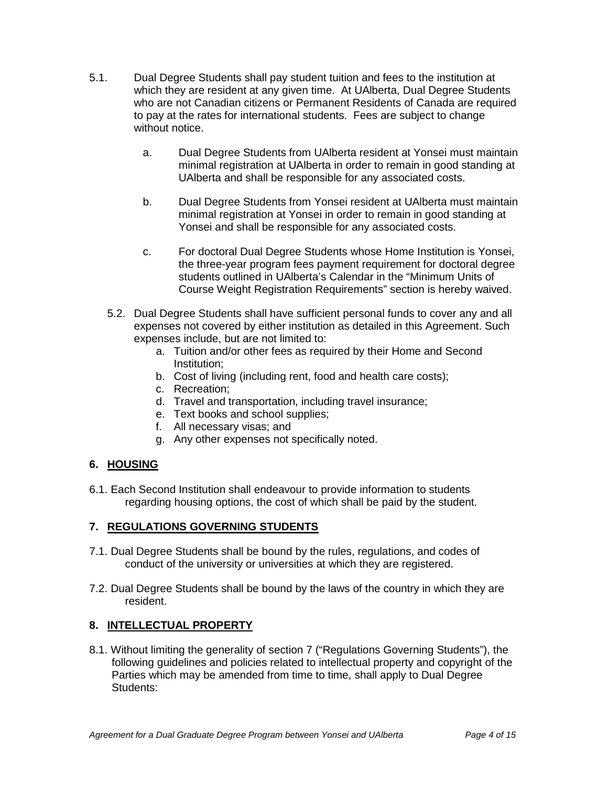- 5.1. Dual Degree Students shall pay student tuition and fees to the institution at which they are resident at any given time. At UAlberta, Dual Degree Students who are not Canadian citizens or Permanent Residents of Canada are required to pay at the rates for international students. Fees are subject to change without notice.
	- a. Dual Degree Students from UAlberta resident at Yonsei must maintain minimal registration at UAlberta in order to remain in good standing at UAlberta and shall be responsible for any associated costs.
	- b. Dual Degree Students from Yonsei resident at UAlberta must maintain minimal registration at Yonsei in order to remain in good standing at Yonsei and shall be responsible for any associated costs.
	- c. For doctoral Dual Degree Students whose Home Institution is Yonsei, the three-year program fees payment requirement for doctoral degree students outlined in UAlberta's Calendar in the "Minimum Units of Course Weight Registration Requirements" section is hereby waived.
	- 5.2. Dual Degree Students shall have sufficient personal funds to cover any and all expenses not covered by either institution as detailed in this Agreement. Such expenses include, but are not limited to:
		- a. Tuition and/or other fees as required by their Home and Second Institution;
		- b. Cost of living (including rent, food and health care costs);
		- c. Recreation;
		- d. Travel and transportation, including travel insurance;
		- e. Text books and school supplies;
		- f. All necessary visas; and
		- g. Any other expenses not specifically noted.

### **6. HOUSING**

6.1. Each Second Institution shall endeavour to provide information to students regarding housing options, the cost of which shall be paid by the student.

### **7. REGULATIONS GOVERNING STUDENTS**

- 7.1. Dual Degree Students shall be bound by the rules, regulations, and codes of conduct of the university or universities at which they are registered.
- 7.2. Dual Degree Students shall be bound by the laws of the country in which they are resident.

### **8. INTELLECTUAL PROPERTY**

8.1. Without limiting the generality of section 7 ("Regulations Governing Students"), the following guidelines and policies related to intellectual property and copyright of the Parties which may be amended from time to time, shall apply to Dual Degree Students: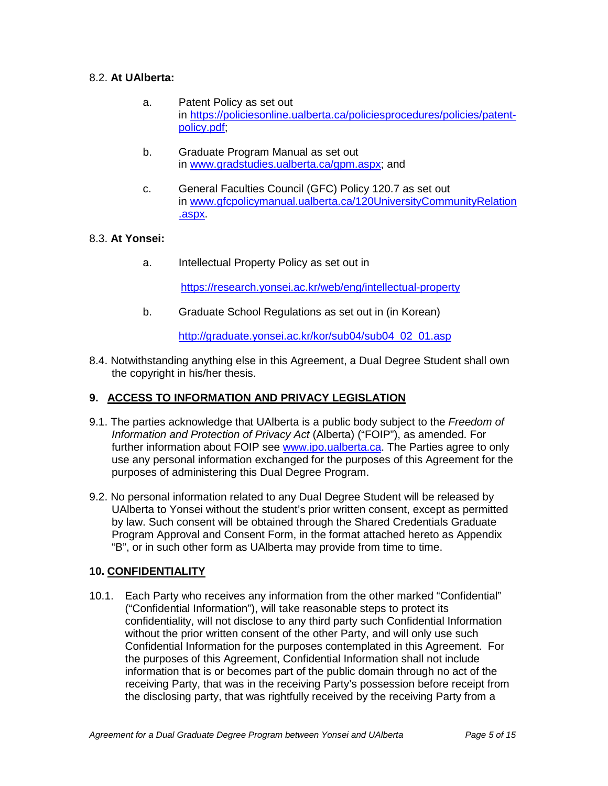### 8.2. **At UAlberta:**

- a. Patent Policy as set out in [https://policiesonline.ualberta.ca/policiesprocedures/policies/patent](https://policiesonline.ualberta.ca/policiesprocedures/policies/patent-policy.pdf)[policy.pdf;](https://policiesonline.ualberta.ca/policiesprocedures/policies/patent-policy.pdf)
- b. Graduate Program Manual as set out in [www.gradstudies.ualberta.ca/gpm.aspx;](http://www.gradstudies.ualberta.ca/gpm.aspx) and
- c. General Faculties Council (GFC) Policy 120.7 as set out in [www.gfcpolicymanual.ualberta.ca/120UniversityCommunityRelation](http://www.gfcpolicymanual.ualberta.ca/120UniversityCommunityRelation.aspx) [.aspx.](http://www.gfcpolicymanual.ualberta.ca/120UniversityCommunityRelation.aspx)

### 8.3. **At Yonsei:**

a. Intellectual Property Policy as set out in

<https://research.yonsei.ac.kr/web/eng/intellectual-property>

b. Graduate School Regulations as set out in (in Korean)

[http://graduate.yonsei.ac.kr/kor/sub04/sub04\\_02\\_01.asp](http://graduate.yonsei.ac.kr/kor/sub04/sub04_02_01.asp)

8.4. Notwithstanding anything else in this Agreement, a Dual Degree Student shall own the copyright in his/her thesis.

### **9. ACCESS TO INFORMATION AND PRIVACY LEGISLATION**

- 9.1. The parties acknowledge that UAlberta is a public body subject to the *Freedom of Information and Protection of Privacy Act* (Alberta) ("FOIP"), as amended. For further information about FOIP see [www.ipo.ualberta.ca.](http://www.ipo.ualberta.ca/) The Parties agree to only use any personal information exchanged for the purposes of this Agreement for the purposes of administering this Dual Degree Program.
- 9.2. No personal information related to any Dual Degree Student will be released by UAlberta to Yonsei without the student's prior written consent, except as permitted by law. Such consent will be obtained through the Shared Credentials Graduate Program Approval and Consent Form, in the format attached hereto as Appendix "B", or in such other form as UAlberta may provide from time to time.

### **10. CONFIDENTIALITY**

10.1. Each Party who receives any information from the other marked "Confidential" ("Confidential Information"), will take reasonable steps to protect its confidentiality, will not disclose to any third party such Confidential Information without the prior written consent of the other Party, and will only use such Confidential Information for the purposes contemplated in this Agreement. For the purposes of this Agreement, Confidential Information shall not include information that is or becomes part of the public domain through no act of the receiving Party, that was in the receiving Party's possession before receipt from the disclosing party, that was rightfully received by the receiving Party from a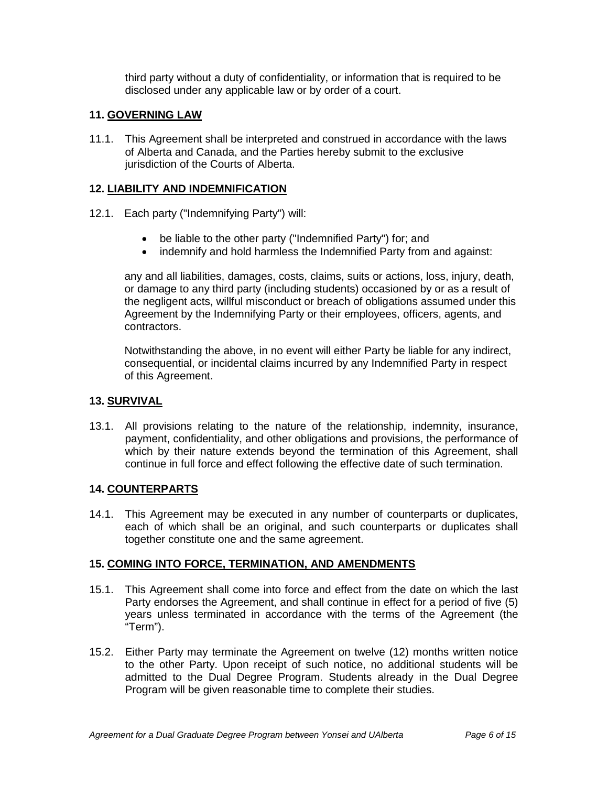third party without a duty of confidentiality, or information that is required to be disclosed under any applicable law or by order of a court.

### **11. GOVERNING LAW**

11.1. This Agreement shall be interpreted and construed in accordance with the laws of Alberta and Canada, and the Parties hereby submit to the exclusive jurisdiction of the Courts of Alberta.

### **12. LIABILITY AND INDEMNIFICATION**

- 12.1. Each party ("Indemnifying Party") will:
	- be liable to the other party ("Indemnified Party") for; and
	- indemnify and hold harmless the Indemnified Party from and against:

any and all liabilities, damages, costs, claims, suits or actions, loss, injury, death, or damage to any third party (including students) occasioned by or as a result of the negligent acts, willful misconduct or breach of obligations assumed under this Agreement by the Indemnifying Party or their employees, officers, agents, and contractors.

Notwithstanding the above, in no event will either Party be liable for any indirect, consequential, or incidental claims incurred by any Indemnified Party in respect of this Agreement.

### **13. SURVIVAL**

13.1. All provisions relating to the nature of the relationship, indemnity, insurance, payment, confidentiality, and other obligations and provisions, the performance of which by their nature extends beyond the termination of this Agreement, shall continue in full force and effect following the effective date of such termination.

#### **14. COUNTERPARTS**

14.1. This Agreement may be executed in any number of counterparts or duplicates, each of which shall be an original, and such counterparts or duplicates shall together constitute one and the same agreement.

#### **15. COMING INTO FORCE, TERMINATION, AND AMENDMENTS**

- 15.1. This Agreement shall come into force and effect from the date on which the last Party endorses the Agreement, and shall continue in effect for a period of five (5) years unless terminated in accordance with the terms of the Agreement (the "Term").
- 15.2. Either Party may terminate the Agreement on twelve (12) months written notice to the other Party. Upon receipt of such notice, no additional students will be admitted to the Dual Degree Program. Students already in the Dual Degree Program will be given reasonable time to complete their studies.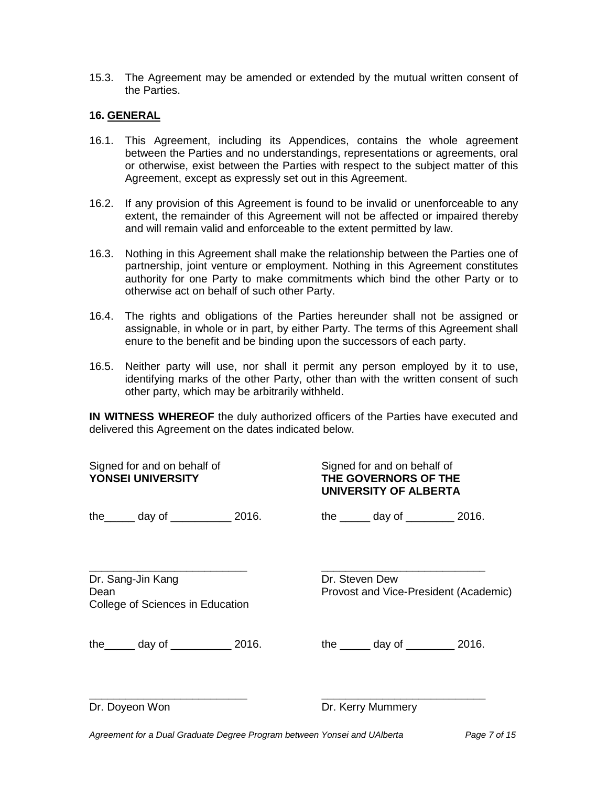15.3. The Agreement may be amended or extended by the mutual written consent of the Parties.

### **16. GENERAL**

- 16.1. This Agreement, including its Appendices, contains the whole agreement between the Parties and no understandings, representations or agreements, oral or otherwise, exist between the Parties with respect to the subject matter of this Agreement, except as expressly set out in this Agreement.
- 16.2. If any provision of this Agreement is found to be invalid or unenforceable to any extent, the remainder of this Agreement will not be affected or impaired thereby and will remain valid and enforceable to the extent permitted by law.
- 16.3. Nothing in this Agreement shall make the relationship between the Parties one of partnership, joint venture or employment. Nothing in this Agreement constitutes authority for one Party to make commitments which bind the other Party or to otherwise act on behalf of such other Party.
- 16.4. The rights and obligations of the Parties hereunder shall not be assigned or assignable, in whole or in part, by either Party. The terms of this Agreement shall enure to the benefit and be binding upon the successors of each party.
- 16.5. Neither party will use, nor shall it permit any person employed by it to use, identifying marks of the other Party, other than with the written consent of such other party, which may be arbitrarily withheld.

**IN WITNESS WHEREOF** the duly authorized officers of the Parties have executed and delivered this Agreement on the dates indicated below.

| Signed for and on behalf of<br><b>YONSEI UNIVERSITY</b> |                                                       |  | Signed for and on behalf of<br>THE GOVERNORS OF THE<br>UNIVERSITY OF ALBERTA |                                              |  |
|---------------------------------------------------------|-------------------------------------------------------|--|------------------------------------------------------------------------------|----------------------------------------------|--|
|                                                         | the $\frac{1}{2}$ day of $\frac{1}{2}$ 2016.          |  |                                                                              | the $\_\_\_\_$ day of $\_\_\_\_\_$ 2016.     |  |
| Dean                                                    | Dr. Sang-Jin Kang<br>College of Sciences in Education |  | Dr. Steven Dew                                                               | Provost and Vice-President (Academic)        |  |
|                                                         | the $\_\_\_$ day of $\_\_\_\_\_$ 2016.                |  |                                                                              | the $\frac{1}{2}$ day of $\frac{1}{2}$ 2016. |  |
| Dr. Doyeon Won                                          |                                                       |  |                                                                              | Dr. Kerry Mummery                            |  |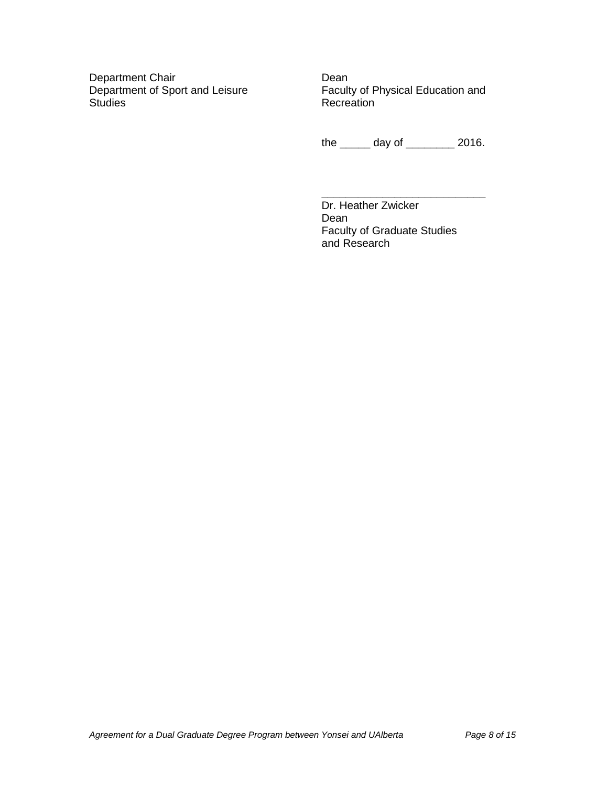Department Chair<br>
Dean<br>
Department of Sport and Leisure<br>
Facult Studies **Recreation** 

Faculty of Physical Education and

the \_\_\_\_\_ day of \_\_\_\_\_\_\_\_ 2016.

**\_\_\_\_\_\_\_\_\_\_\_\_\_\_\_\_\_\_\_\_\_\_\_\_\_\_\_** Dr. Heather Zwicker Dean Faculty of Graduate Studies and Research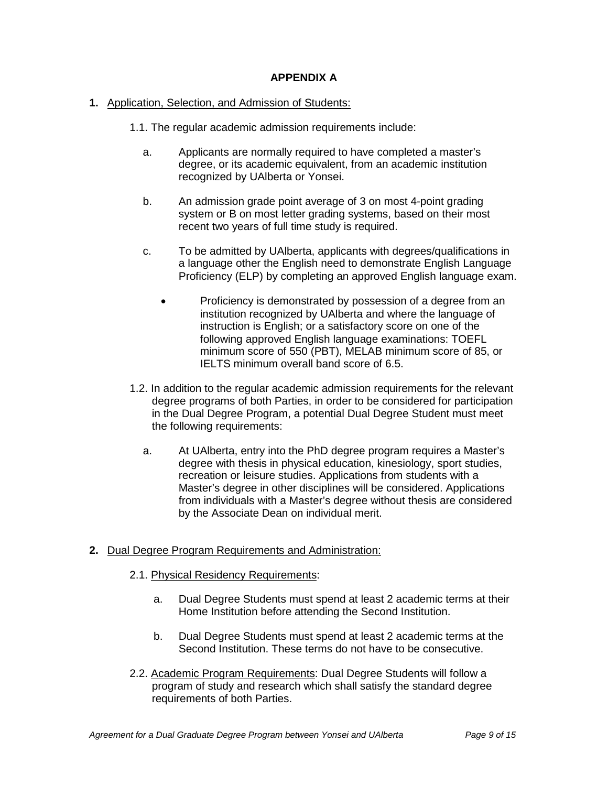### **APPENDIX A**

### **1.** Application, Selection, and Admission of Students:

- 1.1. The regular academic admission requirements include:
	- a. Applicants are normally required to have completed a master's degree, or its academic equivalent, from an academic institution recognized by UAlberta or Yonsei.
	- b. An admission grade point average of 3 on most 4-point grading system or B on most letter grading systems, based on their most recent two years of full time study is required.
	- c. To be admitted by UAlberta, applicants with degrees/qualifications in a language other the English need to demonstrate English Language Proficiency (ELP) by completing an approved English language exam.
		- Proficiency is demonstrated by possession of a degree from an institution recognized by UAlberta and where the language of instruction is English; or a satisfactory score on one of the following approved English language examinations: TOEFL minimum score of 550 (PBT), MELAB minimum score of 85, or IELTS minimum overall band score of 6.5.
- 1.2. In addition to the regular academic admission requirements for the relevant degree programs of both Parties, in order to be considered for participation in the Dual Degree Program, a potential Dual Degree Student must meet the following requirements:
	- a. At UAlberta, entry into the PhD degree program requires a Master's degree with thesis in physical education, kinesiology, sport studies, recreation or leisure studies. Applications from students with a Master's degree in other disciplines will be considered. Applications from individuals with a Master's degree without thesis are considered by the Associate Dean on individual merit.

### **2.** Dual Degree Program Requirements and Administration:

- 2.1. Physical Residency Requirements:
	- a. Dual Degree Students must spend at least 2 academic terms at their Home Institution before attending the Second Institution.
	- b. Dual Degree Students must spend at least 2 academic terms at the Second Institution. These terms do not have to be consecutive.
- 2.2. Academic Program Requirements: Dual Degree Students will follow a program of study and research which shall satisfy the standard degree requirements of both Parties.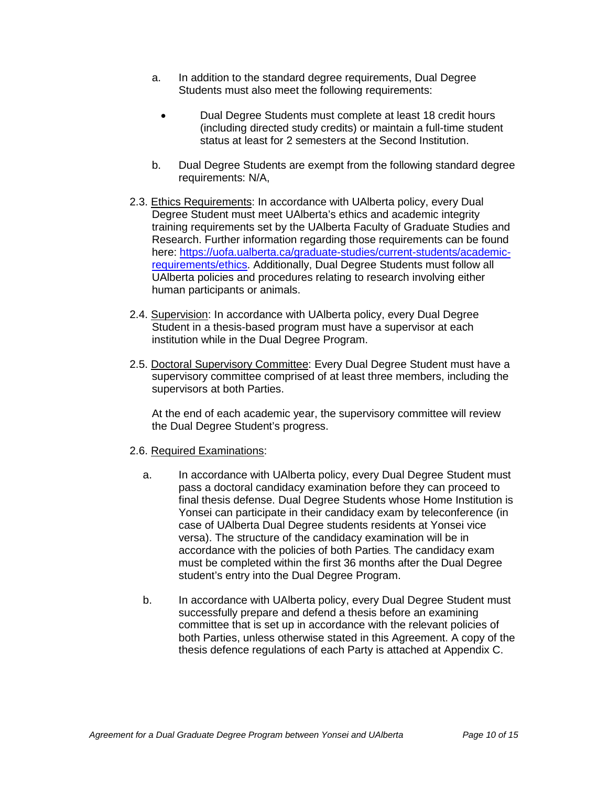- a. In addition to the standard degree requirements, Dual Degree Students must also meet the following requirements:
	- Dual Degree Students must complete at least 18 credit hours (including directed study credits) or maintain a full-time student status at least for 2 semesters at the Second Institution.
- b. Dual Degree Students are exempt from the following standard degree requirements: N/A,
- 2.3. Ethics Requirements: In accordance with UAlberta policy, every Dual Degree Student must meet UAlberta's ethics and academic integrity training requirements set by the UAlberta Faculty of Graduate Studies and Research. Further information regarding those requirements can be found here: [https://uofa.ualberta.ca/graduate-studies/current-students/academic](https://uofa.ualberta.ca/graduate-studies/current-students/academic-requirements/ethics)[requirements/ethics.](https://uofa.ualberta.ca/graduate-studies/current-students/academic-requirements/ethics) Additionally, Dual Degree Students must follow all UAlberta policies and procedures relating to research involving either human participants or animals.
- 2.4. Supervision: In accordance with UAlberta policy, every Dual Degree Student in a thesis-based program must have a supervisor at each institution while in the Dual Degree Program.
- 2.5. Doctoral Supervisory Committee: Every Dual Degree Student must have a supervisory committee comprised of at least three members, including the supervisors at both Parties.

At the end of each academic year, the supervisory committee will review the Dual Degree Student's progress.

#### 2.6. Required Examinations:

- a. In accordance with UAlberta policy, every Dual Degree Student must pass a doctoral candidacy examination before they can proceed to final thesis defense. Dual Degree Students whose Home Institution is Yonsei can participate in their candidacy exam by teleconference (in case of UAlberta Dual Degree students residents at Yonsei vice versa). The structure of the candidacy examination will be in accordance with the policies of both Parties. The candidacy exam must be completed within the first 36 months after the Dual Degree student's entry into the Dual Degree Program.
- b. In accordance with UAlberta policy, every Dual Degree Student must successfully prepare and defend a thesis before an examining committee that is set up in accordance with the relevant policies of both Parties, unless otherwise stated in this Agreement. A copy of the thesis defence regulations of each Party is attached at Appendix C.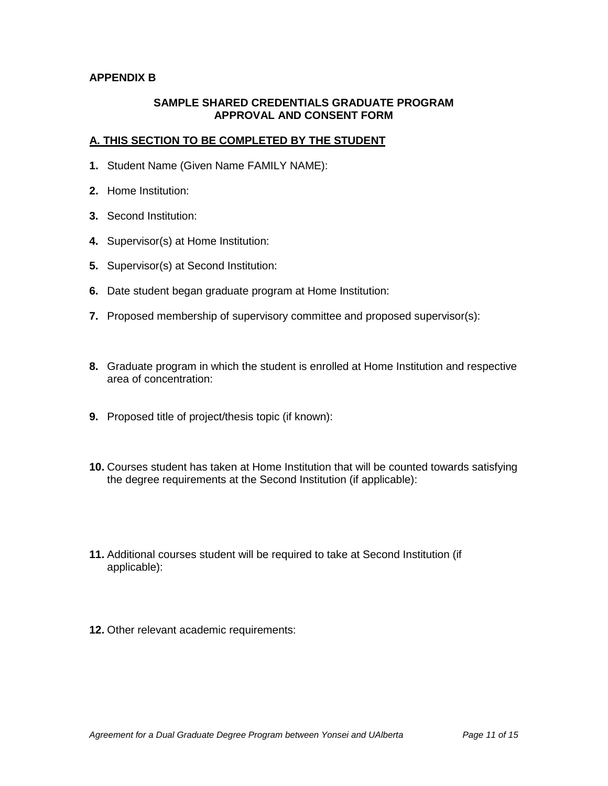### **APPENDIX B**

### **SAMPLE SHARED CREDENTIALS GRADUATE PROGRAM APPROVAL AND CONSENT FORM**

### **A. THIS SECTION TO BE COMPLETED BY THE STUDENT**

- **1.** Student Name (Given Name FAMILY NAME):
- **2.** Home Institution:
- **3.** Second Institution:
- **4.** Supervisor(s) at Home Institution:
- **5.** Supervisor(s) at Second Institution:
- **6.** Date student began graduate program at Home Institution:
- **7.** Proposed membership of supervisory committee and proposed supervisor(s):
- **8.** Graduate program in which the student is enrolled at Home Institution and respective area of concentration:
- **9.** Proposed title of project/thesis topic (if known):
- **10.** Courses student has taken at Home Institution that will be counted towards satisfying the degree requirements at the Second Institution (if applicable):
- **11.** Additional courses student will be required to take at Second Institution (if applicable):
- **12.** Other relevant academic requirements: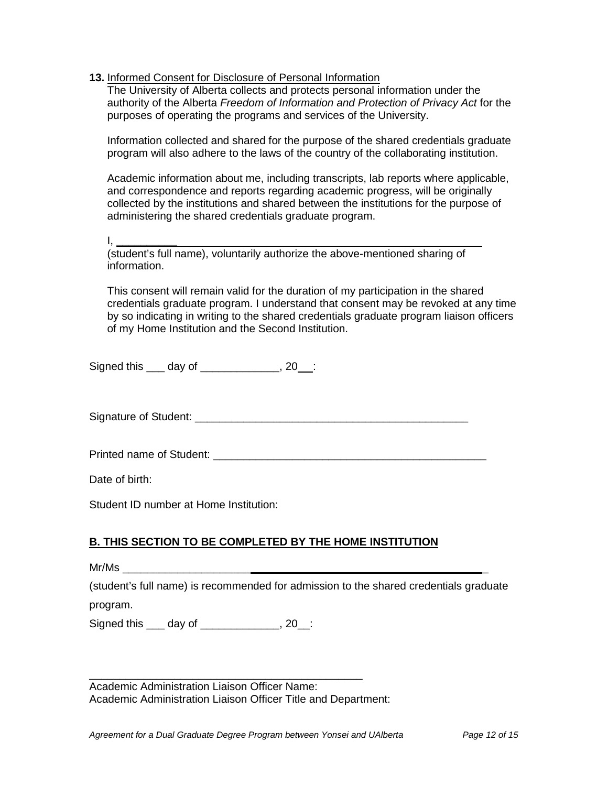**13.** Informed Consent for Disclosure of Personal Information

The University of Alberta collects and protects personal information under the authority of the Alberta *Freedom of Information and Protection of Privacy Act* for the purposes of operating the programs and services of the University.

Information collected and shared for the purpose of the shared credentials graduate program will also adhere to the laws of the country of the collaborating institution.

Academic information about me, including transcripts, lab reports where applicable, and correspondence and reports regarding academic progress, will be originally collected by the institutions and shared between the institutions for the purpose of administering the shared credentials graduate program.

I, **\_\_\_\_\_\_\_\_\_\_** 

(student's full name), voluntarily authorize the above-mentioned sharing of information.

This consent will remain valid for the duration of my participation in the shared credentials graduate program. I understand that consent may be revoked at any time by so indicating in writing to the shared credentials graduate program liaison officers of my Home Institution and the Second Institution.

Signed this day of the set of the set of the set of the set of the set of the set of the set of the set of the s

Signature of Student: **Example 2018** 

Printed name of Student: \_\_\_\_\_\_\_\_\_\_\_\_\_\_\_\_\_\_\_\_\_\_\_\_\_\_\_\_\_\_\_\_\_\_\_\_\_\_\_\_\_\_\_\_\_

Date of birth:

Student ID number at Home Institution:

### **B. THIS SECTION TO BE COMPLETED BY THE HOME INSTITUTION**

 $Mr/Ms$ 

(student's full name) is recommended for admission to the shared credentials graduate

program.

Signed this day of the set of the set of the set of the set of the set of the set of the set of the set of the set of the set of the set of the set of the set of the set of the set of the set of the set of the set of the s

\_\_\_\_\_\_\_\_\_\_\_\_\_\_\_\_\_\_\_\_\_\_\_\_\_\_\_\_\_\_\_\_\_\_\_\_\_\_\_\_\_\_\_\_\_ Academic Administration Liaison Officer Name: Academic Administration Liaison Officer Title and Department: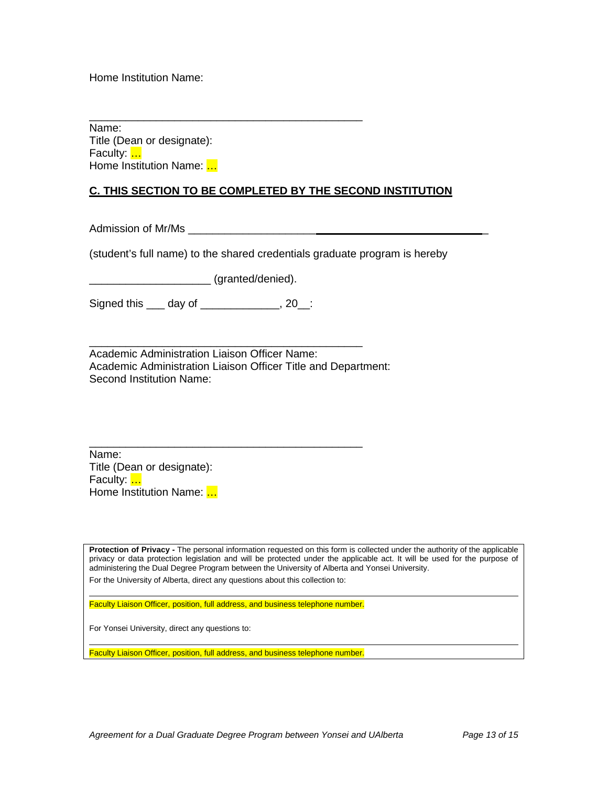Home Institution Name:

\_\_\_\_\_\_\_\_\_\_\_\_\_\_\_\_\_\_\_\_\_\_\_\_\_\_\_\_\_\_\_\_\_\_\_\_\_\_\_\_\_\_\_\_\_ Name: Title (Dean or designate): Faculty: **...** Home Institution Name: ...

### **C. THIS SECTION TO BE COMPLETED BY THE SECOND INSTITUTION**

Admission of Mr/Ms \_\_\_\_\_\_\_\_\_\_\_\_\_\_\_\_\_\_\_\_\_ \_

(student's full name) to the shared credentials graduate program is hereby

\_\_\_\_\_\_\_\_\_\_\_\_\_\_\_\_\_\_\_\_ (granted/denied).

Signed this \_\_\_ day of \_\_\_\_\_\_\_\_\_\_\_\_\_, 20\_\_:

\_\_\_\_\_\_\_\_\_\_\_\_\_\_\_\_\_\_\_\_\_\_\_\_\_\_\_\_\_\_\_\_\_\_\_\_\_\_\_\_\_\_\_\_\_ Academic Administration Liaison Officer Name: Academic Administration Liaison Officer Title and Department: Second Institution Name:

\_\_\_\_\_\_\_\_\_\_\_\_\_\_\_\_\_\_\_\_\_\_\_\_\_\_\_\_\_\_\_\_\_\_\_\_\_\_\_\_\_\_\_\_\_

Name: Title (Dean or designate): Faculty: ... Home Institution Name: ...

**Protection of Privacy -** The personal information requested on this form is collected under the authority of the applicable privacy or data protection legislation and will be protected under the applicable act. It will be used for the purpose of administering the Dual Degree Program between the University of Alberta and Yonsei University. For the University of Alberta, direct any questions about this collection to:

Faculty Liaison Officer, position, full address, and business telephone number.

For Yonsei University, direct any questions to:

Faculty Liaison Officer, position, full address, and business telephone number.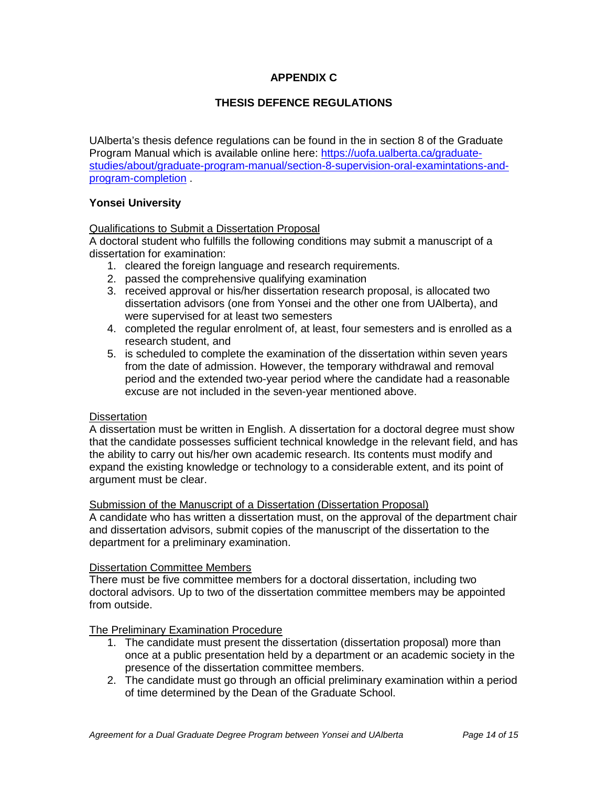### **APPENDIX C**

### **THESIS DEFENCE REGULATIONS**

UAlberta's thesis defence regulations can be found in the in section 8 of the Graduate Program Manual which is available online here: [https://uofa.ualberta.ca/graduate](https://uofa.ualberta.ca/graduate-studies/about/graduate-program-manual/section-8-supervision-oral-examintations-and-program-completion)[studies/about/graduate-program-manual/section-8-supervision-oral-examintations-and](https://uofa.ualberta.ca/graduate-studies/about/graduate-program-manual/section-8-supervision-oral-examintations-and-program-completion)[program-completion](https://uofa.ualberta.ca/graduate-studies/about/graduate-program-manual/section-8-supervision-oral-examintations-and-program-completion) .

### **Yonsei University**

#### Qualifications to Submit a Dissertation Proposal

A doctoral student who fulfills the following conditions may submit a manuscript of a dissertation for examination:

- 1. cleared the foreign language and research requirements.
- 2. passed the comprehensive qualifying examination
- 3. received approval or his/her dissertation research proposal, is allocated two dissertation advisors (one from Yonsei and the other one from UAlberta), and were supervised for at least two semesters
- 4. completed the regular enrolment of, at least, four semesters and is enrolled as a research student, and
- 5. is scheduled to complete the examination of the dissertation within seven years from the date of admission. However, the temporary withdrawal and removal period and the extended two-year period where the candidate had a reasonable excuse are not included in the seven-year mentioned above.

#### **Dissertation**

A dissertation must be written in English. A dissertation for a doctoral degree must show that the candidate possesses sufficient technical knowledge in the relevant field, and has the ability to carry out his/her own academic research. Its contents must modify and expand the existing knowledge or technology to a considerable extent, and its point of argument must be clear.

#### Submission of the Manuscript of a Dissertation (Dissertation Proposal)

A candidate who has written a dissertation must, on the approval of the department chair and dissertation advisors, submit copies of the manuscript of the dissertation to the department for a preliminary examination.

#### Dissertation Committee Members

There must be five committee members for a doctoral dissertation, including two doctoral advisors. Up to two of the dissertation committee members may be appointed from outside.

#### The Preliminary Examination Procedure

- 1. The candidate must present the dissertation (dissertation proposal) more than once at a public presentation held by a department or an academic society in the presence of the dissertation committee members.
- 2. The candidate must go through an official preliminary examination within a period of time determined by the Dean of the Graduate School.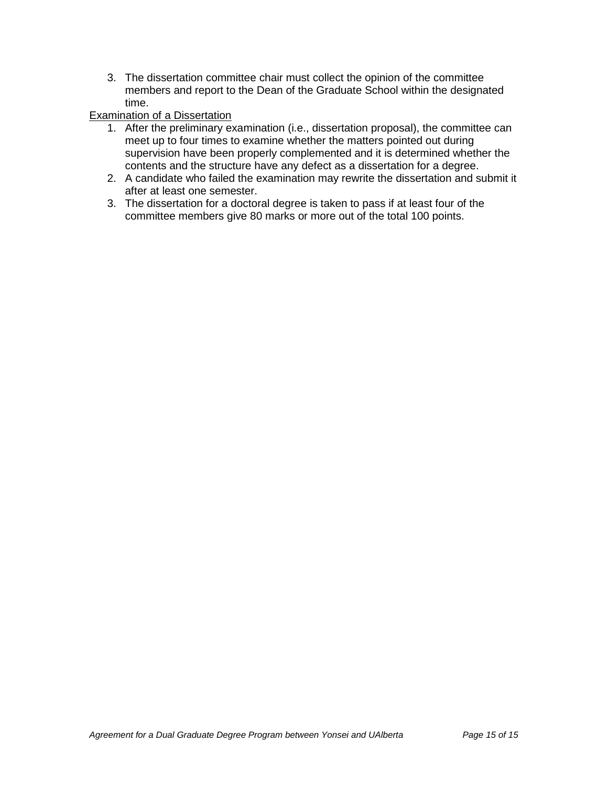3. The dissertation committee chair must collect the opinion of the committee members and report to the Dean of the Graduate School within the designated time.

### Examination of a Dissertation

- 1. After the preliminary examination (i.e., dissertation proposal), the committee can meet up to four times to examine whether the matters pointed out during supervision have been properly complemented and it is determined whether the contents and the structure have any defect as a dissertation for a degree.
- 2. A candidate who failed the examination may rewrite the dissertation and submit it after at least one semester.
- 3. The dissertation for a doctoral degree is taken to pass if at least four of the committee members give 80 marks or more out of the total 100 points.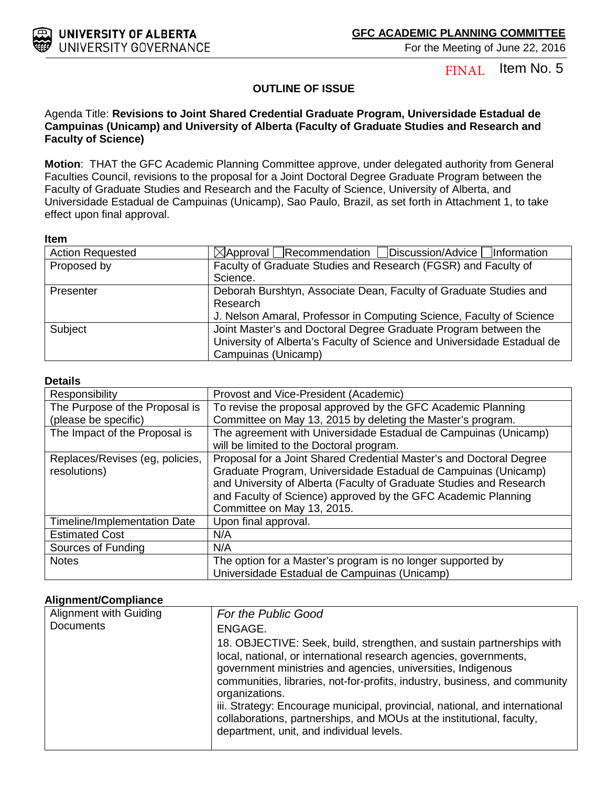

Item No. 5 FINAL

### **OUTLINE OF ISSUE**

### Agenda Title: **Revisions to Joint Shared Credential Graduate Program, Universidade Estadual de Campuinas (Unicamp) and University of Alberta (Faculty of Graduate Studies and Research and Faculty of Science)**

**Motion**: THAT the GFC Academic Planning Committee approve, under delegated authority from General Faculties Council, revisions to the proposal for a Joint Doctoral Degree Graduate Program between the Faculty of Graduate Studies and Research and the Faculty of Science, University of Alberta, and Universidade Estadual de Campuinas (Unicamp), Sao Paulo, Brazil, as set forth in Attachment 1, to take effect upon final approval.

#### **Item**

| <b>Action Requested</b> | ⊠Approval Recommendation Discussion/Advice Information                                                                                                            |
|-------------------------|-------------------------------------------------------------------------------------------------------------------------------------------------------------------|
| Proposed by             | Faculty of Graduate Studies and Research (FGSR) and Faculty of<br>Science.                                                                                        |
| Presenter               | Deborah Burshtyn, Associate Dean, Faculty of Graduate Studies and<br>Research<br>J. Nelson Amaral, Professor in Computing Science, Faculty of Science             |
| Subject                 | Joint Master's and Doctoral Degree Graduate Program between the<br>University of Alberta's Faculty of Science and Universidade Estadual de<br>Campuinas (Unicamp) |

#### **Details**

| Responsibility                  | Provost and Vice-President (Academic)                               |
|---------------------------------|---------------------------------------------------------------------|
| The Purpose of the Proposal is  | To revise the proposal approved by the GFC Academic Planning        |
| (please be specific)            | Committee on May 13, 2015 by deleting the Master's program.         |
| The Impact of the Proposal is   | The agreement with Universidade Estadual de Campuinas (Unicamp)     |
|                                 | will be limited to the Doctoral program.                            |
| Replaces/Revises (eg, policies, | Proposal for a Joint Shared Credential Master's and Doctoral Degree |
| resolutions)                    | Graduate Program, Universidade Estadual de Campuinas (Unicamp)      |
|                                 | and University of Alberta (Faculty of Graduate Studies and Research |
|                                 | and Faculty of Science) approved by the GFC Academic Planning       |
|                                 | Committee on May 13, 2015.                                          |
| Timeline/Implementation Date    | Upon final approval.                                                |
| <b>Estimated Cost</b>           | N/A                                                                 |
| Sources of Funding              | N/A                                                                 |
| <b>Notes</b>                    | The option for a Master's program is no longer supported by         |
|                                 | Universidade Estadual de Campuinas (Unicamp)                        |

#### **Alignment/Compliance**

| Alignment with Guiding | For the Public Good                                                                                                                                                                                                                                                                                 |  |
|------------------------|-----------------------------------------------------------------------------------------------------------------------------------------------------------------------------------------------------------------------------------------------------------------------------------------------------|--|
| <b>Documents</b>       | ENGAGE.<br>18. OBJECTIVE: Seek, build, strengthen, and sustain partnerships with<br>local, national, or international research agencies, governments,<br>government ministries and agencies, universities, Indigenous<br>communities, libraries, not-for-profits, industry, business, and community |  |
|                        | organizations.<br>iii. Strategy: Encourage municipal, provincial, national, and international<br>collaborations, partnerships, and MOUs at the institutional, faculty,<br>department, unit, and individual levels.                                                                                  |  |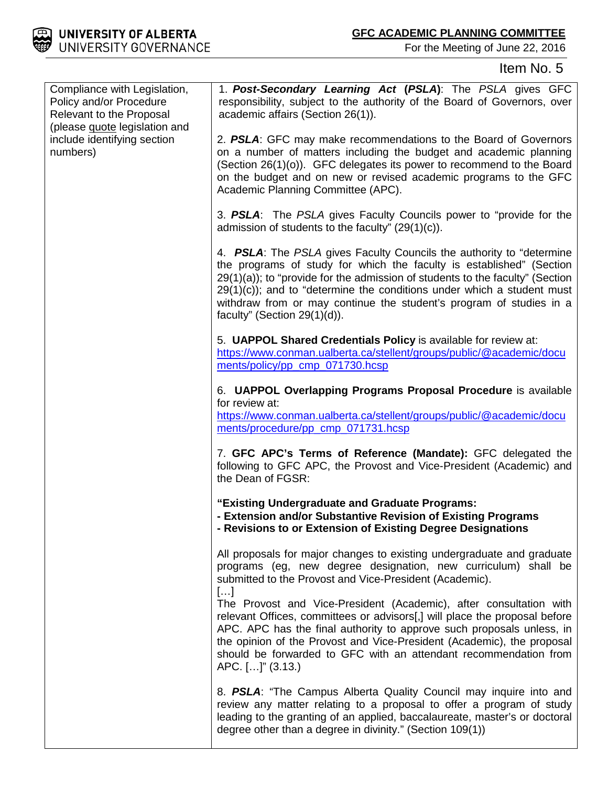

# Item No. 5

| Compliance with Legislation,                                                    | 1. Post-Secondary Learning Act (PSLA): The PSLA gives GFC                                                                                                                                                                                                                                                                                                                                                              |
|---------------------------------------------------------------------------------|------------------------------------------------------------------------------------------------------------------------------------------------------------------------------------------------------------------------------------------------------------------------------------------------------------------------------------------------------------------------------------------------------------------------|
| Policy and/or Procedure<br>Relevant to the Proposal                             | responsibility, subject to the authority of the Board of Governors, over<br>academic affairs (Section 26(1)).                                                                                                                                                                                                                                                                                                          |
| (please <b>quote</b> legislation and<br>include identifying section<br>numbers) | 2. PSLA: GFC may make recommendations to the Board of Governors<br>on a number of matters including the budget and academic planning<br>(Section 26(1)(o)). GFC delegates its power to recommend to the Board<br>on the budget and on new or revised academic programs to the GFC<br>Academic Planning Committee (APC).                                                                                                |
|                                                                                 | 3. PSLA: The PSLA gives Faculty Councils power to "provide for the<br>admission of students to the faculty" $(29(1)(c))$ .                                                                                                                                                                                                                                                                                             |
|                                                                                 | 4. PSLA: The PSLA gives Faculty Councils the authority to "determine"<br>the programs of study for which the faculty is established" (Section<br>$29(1)(a)$ ; to "provide for the admission of students to the faculty" (Section<br>$29(1)(c)$ ; and to "determine the conditions under which a student must<br>withdraw from or may continue the student's program of studies in a<br>faculty" (Section $29(1)(d)$ ). |
|                                                                                 | 5. UAPPOL Shared Credentials Policy is available for review at:<br>https://www.conman.ualberta.ca/stellent/groups/public/@academic/docu<br>ments/policy/pp_cmp_071730.hcsp                                                                                                                                                                                                                                             |
|                                                                                 | 6. UAPPOL Overlapping Programs Proposal Procedure is available<br>for review at:<br>https://www.conman.ualberta.ca/stellent/groups/public/@academic/docu<br>ments/procedure/pp_cmp_071731.hcsp                                                                                                                                                                                                                         |
|                                                                                 | 7. GFC APC's Terms of Reference (Mandate): GFC delegated the<br>following to GFC APC, the Provost and Vice-President (Academic) and<br>the Dean of FGSR:                                                                                                                                                                                                                                                               |
|                                                                                 | "Existing Undergraduate and Graduate Programs:<br>- Extension and/or Substantive Revision of Existing Programs<br>- Revisions to or Extension of Existing Degree Designations                                                                                                                                                                                                                                          |
|                                                                                 | All proposals for major changes to existing undergraduate and graduate<br>programs (eg, new degree designation, new curriculum) shall be<br>submitted to the Provost and Vice-President (Academic).                                                                                                                                                                                                                    |
|                                                                                 | []<br>The Provost and Vice-President (Academic), after consultation with<br>relevant Offices, committees or advisors[,] will place the proposal before<br>APC. APC has the final authority to approve such proposals unless, in<br>the opinion of the Provost and Vice-President (Academic), the proposal<br>should be forwarded to GFC with an attendant recommendation from<br>APC. []" (3.13.)                      |
|                                                                                 | 8. PSLA: "The Campus Alberta Quality Council may inquire into and<br>review any matter relating to a proposal to offer a program of study<br>leading to the granting of an applied, baccalaureate, master's or doctoral<br>degree other than a degree in divinity." (Section 109(1))                                                                                                                                   |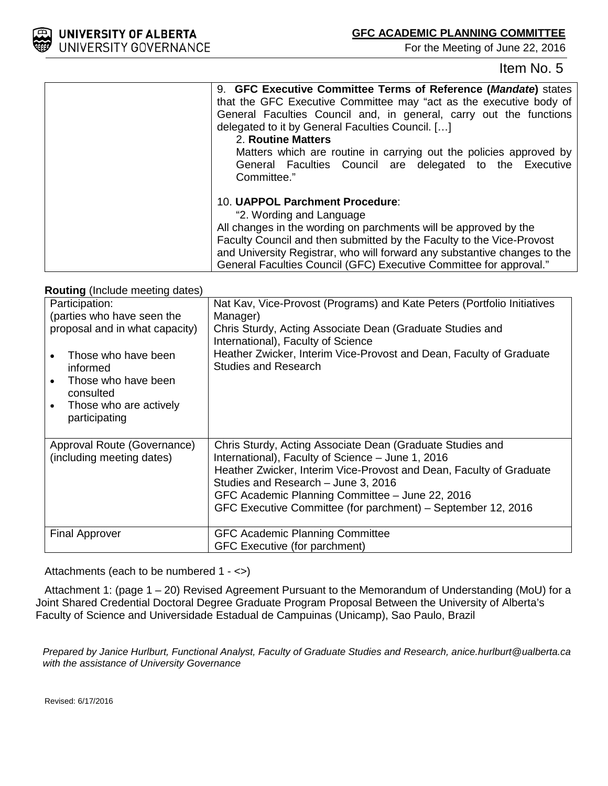

## Item No. 5

| 9. GFC Executive Committee Terms of Reference (Mandate) states            |
|---------------------------------------------------------------------------|
| that the GFC Executive Committee may "act as the executive body of        |
| General Faculties Council and, in general, carry out the functions        |
| delegated to it by General Faculties Council. []                          |
| 2. Routine Matters                                                        |
| Matters which are routine in carrying out the policies approved by        |
| General Faculties Council are delegated to the Executive                  |
| Committee."                                                               |
| 10. UAPPOL Parchment Procedure:                                           |
| "2. Wording and Language                                                  |
| All changes in the wording on parchments will be approved by the          |
| Faculty Council and then submitted by the Faculty to the Vice-Provost     |
| and University Registrar, who will forward any substantive changes to the |
| General Faculties Council (GFC) Executive Committee for approval."        |

#### **Routing** (Include meeting dates)

| Participation:<br>(parties who have seen the<br>proposal and in what capacity)<br>Those who have been<br>informed<br>Those who have been<br>consulted<br>Those who are actively<br>$\bullet$<br>participating | Nat Kav, Vice-Provost (Programs) and Kate Peters (Portfolio Initiatives<br>Manager)<br>Chris Sturdy, Acting Associate Dean (Graduate Studies and<br>International), Faculty of Science<br>Heather Zwicker, Interim Vice-Provost and Dean, Faculty of Graduate<br><b>Studies and Research</b>                                                    |
|---------------------------------------------------------------------------------------------------------------------------------------------------------------------------------------------------------------|-------------------------------------------------------------------------------------------------------------------------------------------------------------------------------------------------------------------------------------------------------------------------------------------------------------------------------------------------|
| Approval Route (Governance)<br>(including meeting dates)                                                                                                                                                      | Chris Sturdy, Acting Associate Dean (Graduate Studies and<br>International), Faculty of Science - June 1, 2016<br>Heather Zwicker, Interim Vice-Provost and Dean, Faculty of Graduate<br>Studies and Research - June 3, 2016<br>GFC Academic Planning Committee - June 22, 2016<br>GFC Executive Committee (for parchment) - September 12, 2016 |
| <b>Final Approver</b>                                                                                                                                                                                         | <b>GFC Academic Planning Committee</b><br>GFC Executive (for parchment)                                                                                                                                                                                                                                                                         |

Attachments (each to be numbered 1 - <>)

Attachment 1: (page 1 – 20) Revised Agreement Pursuant to the Memorandum of Understanding (MoU) for a Joint Shared Credential Doctoral Degree Graduate Program Proposal Between the University of Alberta's Faculty of Science and Universidade Estadual de Campuinas (Unicamp), Sao Paulo, Brazil

*Prepared by Janice Hurlburt, Functional Analyst, Faculty of Graduate Studies and Research, anice.hurlburt@ualberta.ca with the assistance of University Governance*

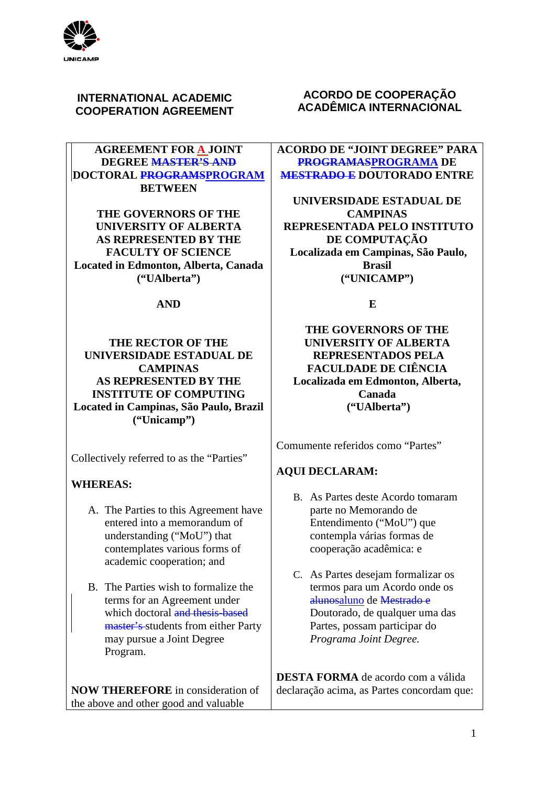

## **INTERNATIONAL ACADEMIC COOPERATION AGREEMENT**

### **AGREEMENT FOR A JOINT DEGREE MASTER'S AND DOCTORAL PROGRAMSPROGRAM BETWEEN**

**THE GOVERNORS OF THE UNIVERSITY OF ALBERTA AS REPRESENTED BY THE FACULTY OF SCIENCE Located in Edmonton, Alberta, Canada ("UAlberta")**

### **AND**

## **THE RECTOR OF THE UNIVERSIDADE ESTADUAL DE CAMPINAS AS REPRESENTED BY THE INSTITUTE OF COMPUTING Located in Campinas, São Paulo, Brazil ("Unicamp")**

Collectively referred to as the "Parties"

### **WHEREAS:**

- A. The Parties to this Agreement have entered into a memorandum of understanding ("MoU") that contemplates various forms of academic cooperation; and
- B. The Parties wish to formalize the terms for an Agreement under which doctoral and thesis-based master's students from either Party may pursue a Joint Degree Program.

**NOW THEREFORE** in consideration of the above and other good and valuable

## **ACORDO DE COOPERAÇÃO ACADÊMICA INTERNACIONAL**

**ACORDO DE "JOINT DEGREE" PARA PROGRAMASPROGRAMA DE MESTRADO E DOUTORADO ENTRE**

**UNIVERSIDADE ESTADUAL DE CAMPINAS REPRESENTADA PELO INSTITUTO DE COMPUTAÇÃO Localizada em Campinas, São Paulo, Brasil ("UNICAMP")**

**E**

**THE GOVERNORS OF THE UNIVERSITY OF ALBERTA REPRESENTADOS PELA FACULDADE DE CIÊNCIA Localizada em Edmonton, Alberta, Canada ("UAlberta")**

Comumente referidos como "Partes"

## **AQUI DECLARAM:**

- B. As Partes deste Acordo tomaram parte no Memorando de Entendimento ("MoU") que contempla várias formas de cooperação acadêmica: e
- C. As Partes desejam formalizar os termos para um Acordo onde os alunosaluno de Mestrado e Doutorado, de qualquer uma das Partes, possam participar do *Programa Joint Degree.*

**DESTA FORMA** de acordo com a válida declaração acima, as Partes concordam que: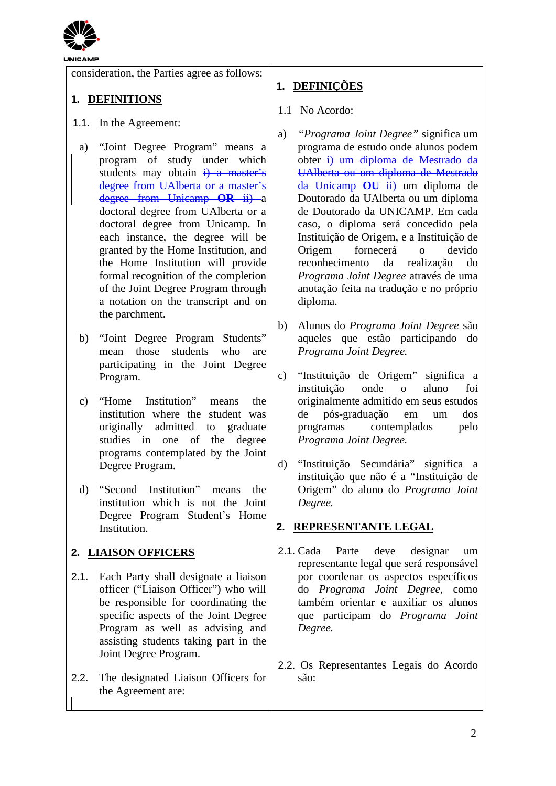

consideration, the Parties agree as follows:

## **1. DEFINITIONS**

- 1.1. In the Agreement:
	- a) "Joint Degree Program" means a program of study under which students may obtain  $\frac{1}{1}$  a master's degree from UAlberta or a master's degree from Unicamp **OR** ii) a doctoral degree from UAlberta or a doctoral degree from Unicamp. In each instance, the degree will be granted by the Home Institution, and the Home Institution will provide formal recognition of the completion of the Joint Degree Program through a notation on the transcript and on the parchment.
	- b) "Joint Degree Program Students" mean those students who are participating in the Joint Degree Program.
	- c) "Home Institution" means the institution where the student was originally admitted to graduate studies in one of the degree programs contemplated by the Joint Degree Program.
- d) "Second Institution" means the institution which is not the Joint Degree Program Student's Home Institution.

## **2. LIAISON OFFICERS**

- 2.1. Each Party shall designate a liaison officer ("Liaison Officer") who will be responsible for coordinating the specific aspects of the Joint Degree Program as well as advising and assisting students taking part in the Joint Degree Program.
- 2.2. The designated Liaison Officers for the Agreement are:

# **1. DEFINIÇÕES**

- 1.1 No Acordo:
- a) *"Programa Joint Degree"* significa um programa de estudo onde alunos podem obter i) um diploma de Mestrado da UAlberta ou um diploma de Mestrado da Unicamp **OU** ii) um diploma de Doutorado da UAlberta ou um diploma de Doutorado da UNICAMP. Em cada caso, o diploma será concedido pela Instituição de Origem, e a Instituição de Origem fornecerá o devido reconhecimento da realização do *Programa Joint Degree* através de uma anotação feita na tradução e no próprio diploma.
- b) Alunos do *Programa Joint Degree* são aqueles que estão participando do *Programa Joint Degree.*
- c) "Instituição de Origem" significa a instituição onde o aluno foi originalmente admitido em seus estudos de pós-graduação em um dos contemplados pelo *Programa Joint Degree.*
- d) "Instituição Secundária" significa a instituição que não é a "Instituição de Origem" do aluno do *Programa Joint Degree.*

## **2. REPRESENTANTE LEGAL**

- 2.1. Cada Parte deve designar um representante legal que será responsável por coordenar os aspectos específicos do *Programa Joint Degree*, como também orientar e auxiliar os alunos que participam do *Programa Joint Degree.*
- 2.2. Os Representantes Legais do Acordo são: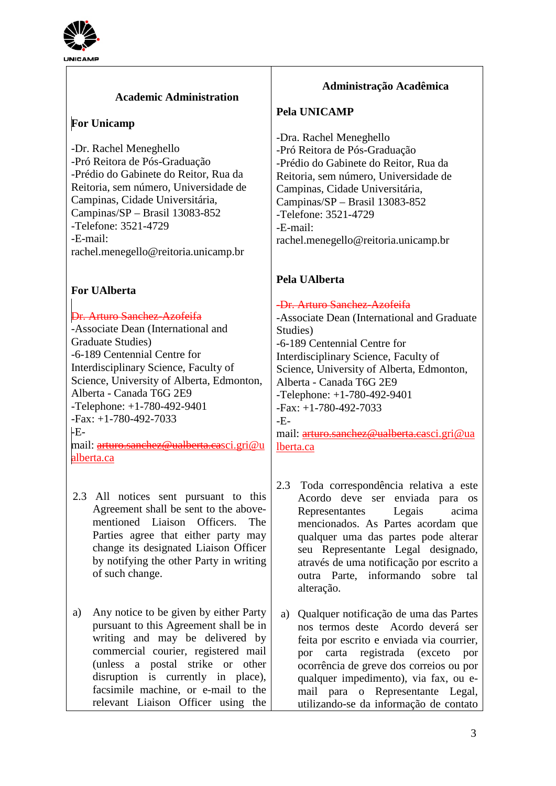

## **Academic Administration**

## **For Unicamp**

-Dr. Rachel Meneghello -Pró Reitora de Pós-Graduação -Prédio do Gabinete do Reitor, Rua da Reitoria, sem número, Universidade de Campinas, Cidade Universitária, Campinas/SP – Brasil 13083-852 -Telefone: 3521-4729 -E-mail: rachel.menegello@reitoria.unicamp.br

## **For UAlberta**

### Dr. Arturo Sanchez-Azofeifa

-Associate Dean (International and Graduate Studies) -6-189 Centennial Centre for Interdisciplinary Science, Faculty of Science, University of Alberta, Edmonton, Alberta - Canada T6G 2E9 -Telephone: +1-780-492-9401 -Fax: +1-780-492-7033  $LE$ mail: arturo.sanchez@ualberta.c[asci.gri@u](mailto:arturo.sanchez@ualberta.ca)

[alberta.ca](mailto:arturo.sanchez@ualberta.ca)

- 2.3 All notices sent pursuant to this Agreement shall be sent to the abovementioned Liaison Officers. The Parties agree that either party may change its designated Liaison Officer by notifying the other Party in writing of such change.
- a) Any notice to be given by either Party pursuant to this Agreement shall be in writing and may be delivered by commercial courier, registered mail (unless a postal strike or other disruption is currently in place), facsimile machine, or e-mail to the relevant Liaison Officer using the

## **Administração Acadêmica**

### **Pela UNICAMP**

-Dra. Rachel Meneghello -Pró Reitora de Pós-Graduação -Prédio do Gabinete do Reitor, Rua da Reitoria, sem número, Universidade de Campinas, Cidade Universitária, Campinas/SP – Brasil 13083-852 -Telefone: 3521-4729 -E-mail: rachel.menegello@reitoria.unicamp.br

## **Pela UAlberta**

### -Dr. Arturo Sanchez-Azofeifa

-Associate Dean (International and Graduate Studies) -6-189 Centennial Centre for Interdisciplinary Science, Faculty of Science, University of Alberta, Edmonton, Alberta - Canada T6G 2E9 -Telephone: +1-780-492-9401 -Fax: +1-780-492-7033  $-$ Email: arturo.sanchez@ualberta.c[asci.gri@ua](mailto:arturo.sanchez@ualberta.ca) [lberta.ca](mailto:arturo.sanchez@ualberta.ca)

- 2.3 Toda correspondência relativa a este Acordo deve ser enviada para os Representantes Legais acima mencionados. As Partes acordam que qualquer uma das partes pode alterar seu Representante Legal designado, através de uma notificação por escrito a outra Parte, informando sobre tal alteração.
- a) Qualquer notificação de uma das Partes nos termos deste Acordo deverá ser feita por escrito e enviada via courrier, por carta registrada (exceto por ocorrência de greve dos correios ou por qualquer impedimento), via fax, ou email para o Representante Legal, utilizando-se da informação de contato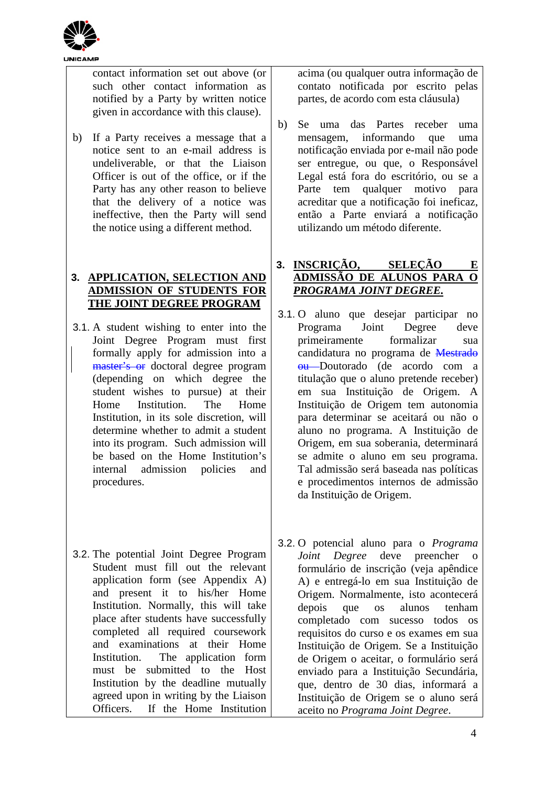

contact information set out above (or such other contact information as notified by a Party by written notice given in accordance with this clause).

b) If a Party receives a message that a notice sent to an e-mail address is undeliverable, or that the Liaison Officer is out of the office, or if the Party has any other reason to believe that the delivery of a notice was ineffective, then the Party will send the notice using a different method.

## **3. APPLICATION, SELECTION AND ADMISSION OF STUDENTS FOR THE JOINT DEGREE PROGRAM**

- 3.1. A student wishing to enter into the Joint Degree Program must first formally apply for admission into a master's or doctoral degree program (depending on which degree the student wishes to pursue) at their Home Institution. The Home Institution, in its sole discretion, will determine whether to admit a student into its program. Such admission will be based on the Home Institution's internal admission policies and procedures.
- 3.2. The potential Joint Degree Program Student must fill out the relevant application form (see Appendix A) and present it to his/her Home Institution. Normally, this will take place after students have successfully completed all required coursework and examinations at their Home Institution. The application form must be submitted to the Host Institution by the deadline mutually agreed upon in writing by the Liaison Officers. If the Home Institution

acima (ou qualquer outra informação de contato notificada por escrito pelas partes, de acordo com esta cláusula)

b) Se uma das Partes receber uma mensagem, informando que uma notificação enviada por e-mail não pode ser entregue, ou que, o Responsável Legal está fora do escritório, ou se a Parte tem qualquer motivo para acreditar que a notificação foi ineficaz, então a Parte enviará a notificação utilizando um método diferente.

### **3. INSCRIÇÃO, SELEÇÃO E ADMISSÃO DE ALUNOS PARA O**  *PROGRAMA JOINT DEGREE.*

- 3.1. O aluno que desejar participar no Programa Joint Degree deve primeiramente formalizar sua candidatura no programa de Mestrado ou Doutorado (de acordo com a titulação que o aluno pretende receber) em sua Instituição de Origem. A Instituição de Origem tem autonomia para determinar se aceitará ou não o aluno no programa. A Instituição de Origem, em sua soberania, determinará se admite o aluno em seu programa. Tal admissão será baseada nas políticas e procedimentos internos de admissão da Instituição de Origem.
- 3.2. O potencial aluno para o *Programa Joint Degree* deve preencher o formulário de inscrição (veja apêndice A) e entregá-lo em sua Instituição de Origem. Normalmente, isto acontecerá depois que os alunos tenham completado com sucesso todos os requisitos do curso e os exames em sua Instituição de Origem. Se a Instituição de Origem o aceitar, o formulário será enviado para a Instituição Secundária, que, dentro de 30 dias, informará a Instituição de Origem se o aluno será aceito no *Programa Joint Degree*.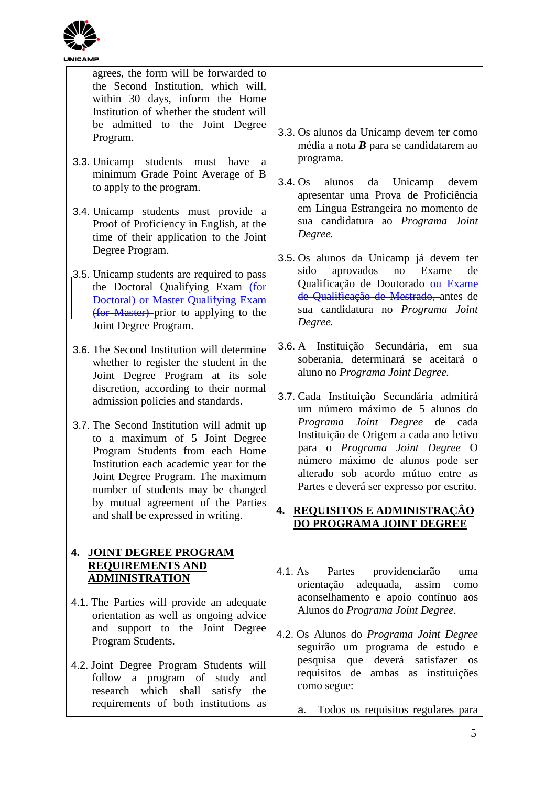

Program Students.

4.2. Joint Degree Program Students will follow a program of study and research which shall satisfy the requirements of both institutions as

| <b>UNICAMP</b>                                                                                                                                                                                                                                                                                                                                                                                                                                                                                                           |                                                                                                                                                                                                                                                                                                                                                                                                                                                                                                                 |
|--------------------------------------------------------------------------------------------------------------------------------------------------------------------------------------------------------------------------------------------------------------------------------------------------------------------------------------------------------------------------------------------------------------------------------------------------------------------------------------------------------------------------|-----------------------------------------------------------------------------------------------------------------------------------------------------------------------------------------------------------------------------------------------------------------------------------------------------------------------------------------------------------------------------------------------------------------------------------------------------------------------------------------------------------------|
| agrees, the form will be forwarded to<br>the Second Institution, which will,<br>within 30 days, inform the Home<br>Institution of whether the student will<br>be admitted to the Joint Degree<br>Program.<br>3.3. Unicamp<br>students must have<br>a<br>minimum Grade Point Average of B<br>to apply to the program.<br>3.4. Unicamp students must provide a<br>Proof of Proficiency in English, at the<br>time of their application to the Joint<br>Degree Program.                                                     | 3.3. Os alunos da Unicamp devem ter como<br>média a nota $B$ para se candidatarem ao<br>programa.<br>$3.4. Os$ alunos<br>Unicamp<br>da<br>devem<br>apresentar uma Prova de Proficiência<br>em Língua Estrangeira no momento de<br>sua candidatura ao Programa Joint<br>Degree.                                                                                                                                                                                                                                  |
| 3.5. Unicamp students are required to pass<br>the Doctoral Qualifying Exam (for<br>Doctoral) or Master Qualifying Exam<br>(for Master) prior to applying to the<br>Joint Degree Program.                                                                                                                                                                                                                                                                                                                                 | 3.5. Os alunos da Unicamp já devem ter<br>no Exame<br>sido<br>aprovados<br>de<br>Qualificação de Doutorado <del>ou Exame</del><br>de Qualificação de Mestrado, antes de<br>sua candidatura no Programa Joint<br>Degree.                                                                                                                                                                                                                                                                                         |
| 3.6. The Second Institution will determine<br>whether to register the student in the<br>Joint Degree Program at its sole<br>discretion, according to their normal<br>admission policies and standards.<br>3.7. The Second Institution will admit up<br>to a maximum of 5 Joint Degree<br>Program Students from each Home<br>Institution each academic year for the<br>Joint Degree Program. The maximum<br>number of students may be changed<br>by mutual agreement of the Parties<br>and shall be expressed in writing. | 3.6. A Instituição Secundária, em<br>sua<br>soberania, determinará se aceitará o<br>aluno no Programa Joint Degree.<br>3.7. Cada Instituição Secundária admitirá<br>um número máximo de 5 alunos do<br>Programa Joint Degree de cada<br>Instituição de Origem a cada ano letivo<br>para o Programa Joint Degree O<br>número máximo de alunos pode ser<br>alterado sob acordo mútuo entre as<br>Partes e deverá ser expresso por escrito.<br><b>REQUISITOS E ADMINISTRAÇÃO</b><br>4.<br>DO PROGRAMA JOINT DEGREE |
| <b>JOINT DEGREE PROGRAM</b><br>4.<br><b>REQUIREMENTS AND</b><br><b>ADMINISTRATION</b><br>4.1. The Parties will provide an adequate<br>orientation as well as ongoing advice<br>support to the Joint Degree<br>and                                                                                                                                                                                                                                                                                                        | Partes<br>providenciarão<br>4.1. As<br>uma<br>adequada,<br>orientação<br>assim<br>como<br>aconselhamento e apoio contínuo aos<br>Alunos do Programa Joint Degree.<br>Alungo de Drograma Leint Degree                                                                                                                                                                                                                                                                                                            |

- 4.2. Os Alunos do *Programa Joint Degree* seguirão um programa de estudo e pesquisa que deverá satisfazer os requisitos de ambas as instituições como segue:
	- a. Todos os requisitos regulares para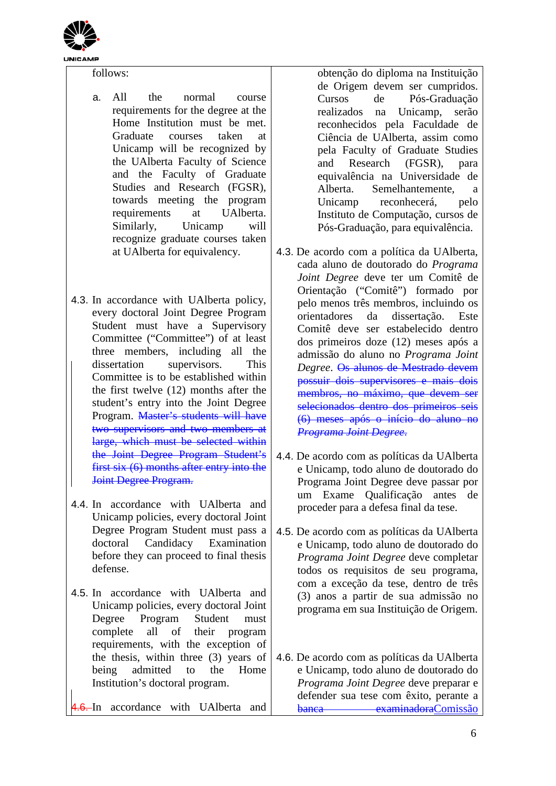

follows:

- a. All the normal course requirements for the degree at the Home Institution must be met. Graduate courses taken at Unicamp will be recognized by the UAlberta Faculty of Science and the Faculty of Graduate Studies and Research (FGSR), towards meeting the program requirements at UAlberta. Similarly, Unicamp will recognize graduate courses taken at UAlberta for equivalency.
- 4.3. In accordance with UAlberta policy, every doctoral Joint Degree Program Student must have a Supervisory Committee ("Committee") of at least three members, including all the dissertation supervisors. This Committee is to be established within the first twelve (12) months after the student's entry into the Joint Degree Program. Master's students will have two supervisors and two members at large, which must be selected within the Joint Degree Program Student's first six (6) months after entry into the Joint Degree Program.
- 4.4. In accordance with UAlberta and Unicamp policies, every doctoral Joint Degree Program Student must pass a doctoral Candidacy Examination before they can proceed to final thesis defense.
- 4.5. In accordance with UAlberta and Unicamp policies, every doctoral Joint Degree Program Student must complete all of their program requirements, with the exception of the thesis, within three (3) years of being admitted to the Home Institution's doctoral program.
- 6. In accordance with UAlberta and

obtenção do diploma na Instituição de Origem devem ser cumpridos. Cursos de Pós-Graduação realizados na Unicamp, serão reconhecidos pela Faculdade de Ciência de UAlberta, assim como pela Faculty of Graduate Studies and Research (FGSR), para equivalência na Universidade de Alberta. Semelhantemente, a Unicamp reconhecerá, pelo Instituto de Computação, cursos de Pós-Graduação, para equivalência.

- 4.3. De acordo com a política da UAlberta, cada aluno de doutorado do *Programa Joint Degree* deve ter um Comitê de Orientação ("Comitê") formado por pelo menos três membros, incluindo os orientadores da dissertação. Este Comitê deve ser estabelecido dentro dos primeiros doze (12) meses após a admissão do aluno no *Programa Joint Degree*. Os alunos de Mestrado devem possuir dois supervisores e mais dois membros, no máximo, que devem ser selecionados dentro dos primeiros seis (6) meses após o início do aluno no *Programa Joint Degree*.
- 4.4. De acordo com as políticas da UAlberta e Unicamp, todo aluno de doutorado do Programa Joint Degree deve passar por um Exame Qualificação antes de proceder para a defesa final da tese.
- 4.5. De acordo com as políticas da UAlberta e Unicamp, todo aluno de doutorado do *Programa Joint Degree* deve completar todos os requisitos de seu programa, com a exceção da tese, dentro de três (3) anos a partir de sua admissão no programa em sua Instituição de Origem.
- 4.6. De acordo com as políticas da UAlberta e Unicamp, todo aluno de doutorado do *Programa Joint Degree* deve preparar e defender sua tese com êxito, perante a banca examinadoraComissão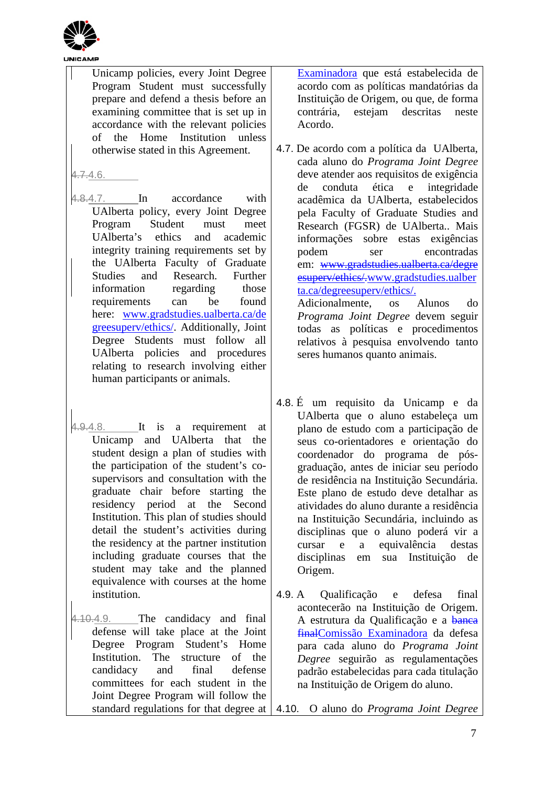

Unicamp policies, every Joint Degree Program Student must successfully prepare and defend a thesis before an examining committee that is set up in accordance with the relevant policies of the Home Institution unless otherwise stated in this Agreement.

 $4.7.4.6.$ 

- 4.8.4.7. In accordance with UAlberta policy, every Joint Degree Program Student must meet UAlberta's ethics and academic integrity training requirements set by the UAlberta Faculty of Graduate Studies and Research. Further information regarding those requirements can be found here: [www.gradstudies.ualberta.ca/de](http://www.gradstudies.ualberta.ca/degreesuperv/ethics/) [greesuperv/ethics/.](http://www.gradstudies.ualberta.ca/degreesuperv/ethics/) Additionally, Joint Degree Students must follow all UAlberta policies and procedures relating to research involving either human participants or animals.
- 4.9.4.8. It is a requirement at Unicamp and UAlberta that the student design a plan of studies with the participation of the student's cosupervisors and consultation with the graduate chair before starting the residency period at the Second Institution. This plan of studies should detail the student's activities during the residency at the partner institution including graduate courses that the student may take and the planned equivalence with courses at the home institution.
- 4.10.4.9. The candidacy and final defense will take place at the Joint Degree Program Student's Home Institution. The structure of the candidacy and final defense committees for each student in the Joint Degree Program will follow the

Examinadora que está estabelecida de acordo com as políticas mandatórias da Instituição de Origem, ou que, de forma contrária, estejam descritas neste Acordo.

- 4.7. De acordo com a política da UAlberta, cada aluno do *Programa Joint Degree* deve atender aos requisitos de exigência de conduta ética e integridade acadêmica da UAlberta, estabelecidos pela Faculty of Graduate Studies and Research (FGSR) de UAlberta.. Mais informações sobre estas exigências podem ser encontradas em: www.gradstudies.ualberta.ca/degre esuperv/ethics/[.www.gradstudies.ualber](http://www.gradstudies.ualberta.ca/degreesuperv/ethics/) [ta.ca/degreesuperv/ethics/.](http://www.gradstudies.ualberta.ca/degreesuperv/ethics/) Adicionalmente, os Alunos do *Programa Joint Degree* devem seguir todas as políticas e procedimentos
	- relativos à pesquisa envolvendo tanto seres humanos quanto animais.
- 4.8. É um requisito da Unicamp e da UAlberta que o aluno estabeleça um plano de estudo com a participação de seus co-orientadores e orientação do coordenador do programa de pósgraduação, antes de iniciar seu período de residência na Instituição Secundária. Este plano de estudo deve detalhar as atividades do aluno durante a residência na Instituição Secundária, incluindo as disciplinas que o aluno poderá vir a cursar e a equivalência destas disciplinas em sua Instituição de Origem.
- 4.9. A Qualificação e defesa final acontecerão na Instituição de Origem. A estrutura da Qualificação e a banca finalComissão Examinadora da defesa para cada aluno do *Programa Joint Degree* seguirão as regulamentações padrão estabelecidas para cada titulação na Instituição de Origem do aluno.

standard regulations for that degree at 4.10. O aluno do *Programa Joint Degree*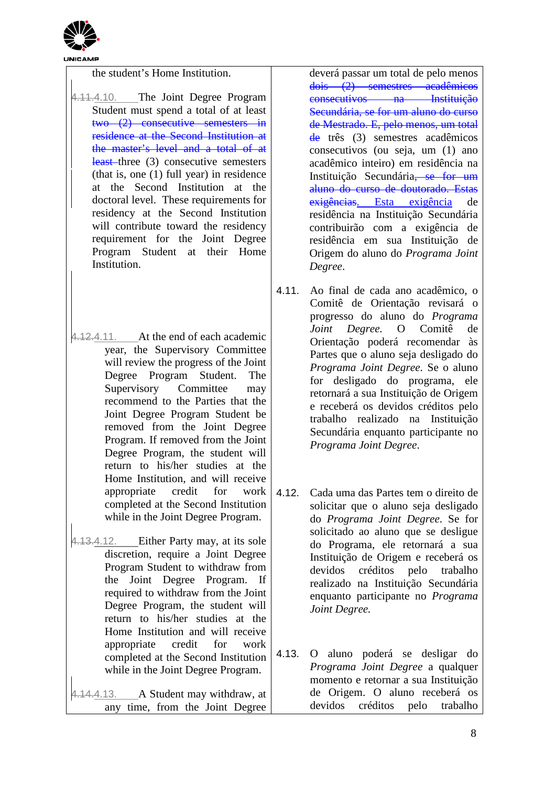

the student's Home Institution.

4.11.4.10. The Joint Degree Program Student must spend a total of at least two (2) consecutive semesters in residence at the Second Institution at the master's level and a total of at least-three (3) consecutive semesters (that is, one (1) full year) in residence at the Second Institution at the doctoral level. These requirements for residency at the Second Institution will contribute toward the residency requirement for the Joint Degree Program Student at their Home Institution.

4.12.4.11. At the end of each academic year, the Supervisory Committee will review the progress of the Joint Degree Program Student. The Supervisory Committee may recommend to the Parties that the Joint Degree Program Student be removed from the Joint Degree Program. If removed from the Joint Degree Program, the student will return to his/her studies at the Home Institution, and will receive appropriate credit for work completed at the Second Institution while in the Joint Degree Program.

4.13.4.12. Either Party may, at its sole discretion, require a Joint Degree Program Student to withdraw from the Joint Degree Program. If required to withdraw from the Joint Degree Program, the student will return to his/her studies at the Home Institution and will receive appropriate credit for work completed at the Second Institution while in the Joint Degree Program.

4.14.4.13. A Student may withdraw, at any time, from the Joint Degree

deverá passar um total de pelo menos dois (2) semestres acadêmicos consecutivos na Instituição Secundária, se for um aluno do curso de Mestrado. E, pelo menos, um total de três (3) semestres acadêmicos consecutivos (ou seja, um (1) ano acadêmico inteiro) em residência na Instituição Secundária<del>, se for um</del> aluno do curso de doutorado. Estas exigências. Esta exigência de residência na Instituição Secundária contribuirão com a exigência de residência em sua Instituição de Origem do aluno do *Programa Joint Degree*.

- 4.11. Ao final de cada ano acadêmico, o Comitê de Orientação revisará o progresso do aluno do *Programa Joint Degree.* O Comitê de Orientação poderá recomendar às Partes que o aluno seja desligado do *Programa Joint Degree*. Se o aluno for desligado do programa, ele retornará a sua Instituição de Origem e receberá os devidos créditos pelo trabalho realizado na Instituição Secundária enquanto participante no *Programa Joint Degree*.
- 4.12. Cada uma das Partes tem o direito de solicitar que o aluno seja desligado do *Programa Joint Degree*. Se for solicitado ao aluno que se desligue do Programa, ele retornará a sua Instituição de Origem e receberá os devidos créditos pelo trabalho realizado na Instituição Secundária enquanto participante no *Programa Joint Degree.*
- 4.13. O aluno poderá se desligar do *Programa Joint Degree* a qualquer momento e retornar a sua Instituição de Origem. O aluno receberá os devidos créditos pelo trabalho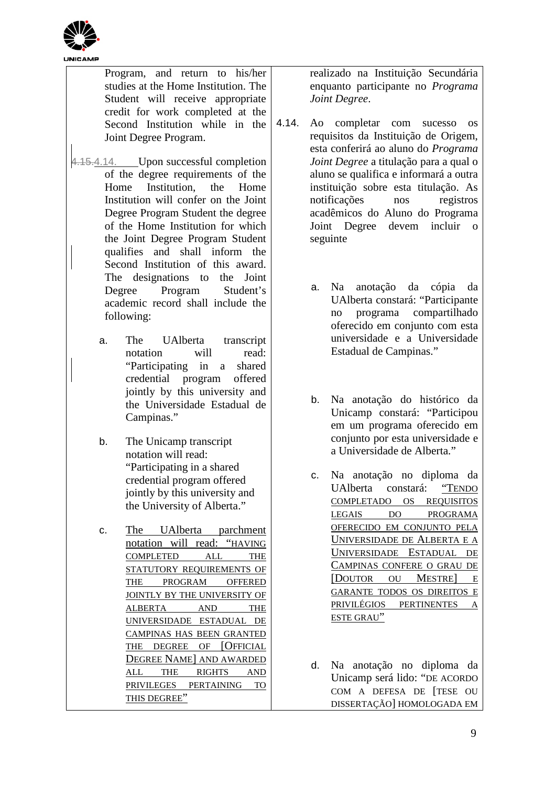

| 4.14. | Program, and return to his/her<br>studies at the Home Institution. The<br>Student will receive appropriate<br>credit for work completed at the<br>Second Institution while in the<br>Joint Degree Program.                                                                                                                                                                                                                                            |
|-------|-------------------------------------------------------------------------------------------------------------------------------------------------------------------------------------------------------------------------------------------------------------------------------------------------------------------------------------------------------------------------------------------------------------------------------------------------------|
|       | 4.15.4.14. Upon successful completion<br>of the degree requirements of the<br>Home Institution, the Home<br>Institution will confer on the Joint<br>Degree Program Student the degree<br>of the Home Institution for which<br>the Joint Degree Program Student<br>qualifies and shall inform the<br>Second Institution of this award.<br>The designations to the Joint<br>Degree Program Student's<br>academic record shall include the<br>following: |
|       | UAlberta transcript<br>The<br>a.<br>read:<br>notation will<br>"Participating in a shared<br>credential program offered<br>jointly by this university and<br>the Universidade Estadual de                                                                                                                                                                                                                                                              |

b. The Unicamp transcript notation will read: "Participating in a shared credential program offered jointly by this university and the University of Alberta."

Campinas."

c. The UAlberta parchment notation will read: "HAVING COMPLETED ALL THE STATUTORY REQUIREMENTS OF THE PROGRAM OFFERED JOINTLY BY THE UNIVERSITY OF ALBERTA AND THE UNIVERSIDADE ESTADUAL DE CAMPINAS HAS BEEN GRANTED THE DEGREE OF [OFFICIAL DEGREE NAME] AND AWARDED ALL THE RIGHTS AND PRIVILEGES PERTAINING TO THIS DEGREE"

realizado na Instituição Secundária enquanto participante no *Programa Joint Degree*.

- Ao completar com sucesso os requisitos da Instituição de Origem, esta conferirá ao aluno do *Programa Joint Degree* a titulação para a qual o aluno se qualifica e informará a outra instituição sobre esta titulação. As notificações nos registros acadêmicos do Aluno do Programa Joint Degree devem incluir o seguinte
	- a. Na anotação da cópia da UAlberta constará: "Participante no programa compartilhado oferecido em conjunto com esta universidade e a Universidade Estadual de Campinas."
	- b. Na anotação do histórico da Unicamp constará: "Participou em um programa oferecido em conjunto por esta universidade e a Universidade de Alberta."
	- c. Na anotação no diploma da UAlberta constará: "TENDO COMPLETADO OS REQUISITOS LEGAIS DO PROGRAMA OFERECIDO EM CONJUNTO PELA UNIVERSIDADE DE ALBERTA E A UNIVERSIDADE ESTADUAL DE CAMPINAS CONFERE O GRAU DE [DOUTOR OU MESTRE] E GARANTE TODOS OS DIREITOS E PRIVILÉGIOS PERTINENTES A ESTE GRAU"
	- d. Na anotação no diploma da Unicamp será lido: "DE ACORDO COM A DEFESA DE [TESE OU DISSERTAÇÃO] HOMOLOGADA EM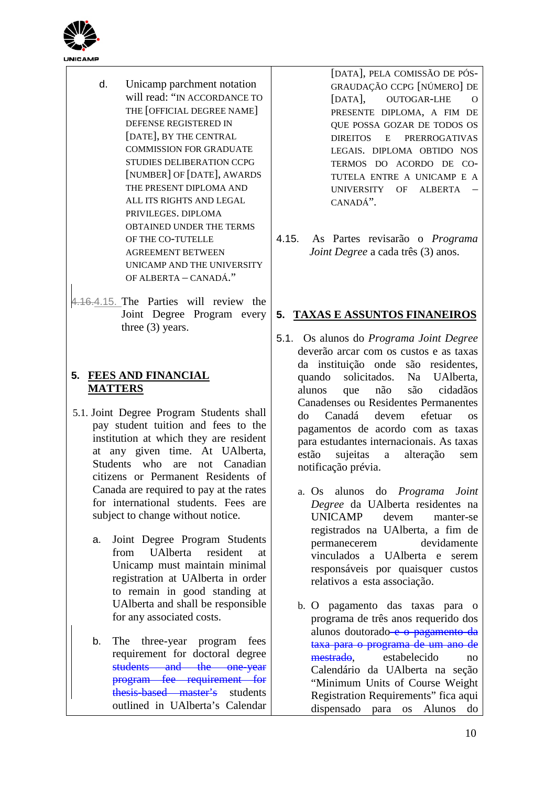

- d. Unicamp parchment notation will read: "IN ACCORDANCE TO THE [OFFICIAL DEGREE NAME] DEFENSE REGISTERED IN [DATE], BY THE CENTRAL COMMISSION FOR GRADUATE STUDIES DELIBERATION CCPG [NUMBER] OF [DATE], AWARDS THE PRESENT DIPLOMA AND ALL ITS RIGHTS AND LEGAL PRIVILEGES. DIPLOMA OBTAINED UNDER THE TERMS OF THE CO-TUTELLE AGREEMENT BETWEEN UNICAMP AND THE UNIVERSITY OF ALBERTA – CANADÁ."
- 4.16.4.15. The Parties will review the Joint Degree Program every three (3) years.

## **5. FEES AND FINANCIAL MATTERS**

- 5.1. Joint Degree Program Students shall pay student tuition and fees to the institution at which they are resident at any given time. At UAlberta, Students who are not Canadian citizens or Permanent Residents of Canada are required to pay at the rates for international students. Fees are subject to change without notice.
	- a. Joint Degree Program Students from UAlberta resident at Unicamp must maintain minimal registration at UAlberta in order to remain in good standing at UAlberta and shall be responsible for any associated costs.
	- b. The three-year program fees requirement for doctoral degree students and the one-year program fee requirement for thesis-based master's students outlined in UAlberta's Calendar

[DATA], PELA COMISSÃO DE PÓS-GRAUDAÇÃO CCPG [NÚMERO] DE [DATA], OUTOGAR-LHE O PRESENTE DIPLOMA, A FIM DE QUE POSSA GOZAR DE TODOS OS DIREITOS E PRERROGATIVAS LEGAIS. DIPLOMA OBTIDO NOS TERMOS DO ACORDO DE CO-TUTELA ENTRE A UNICAMP E A UNIVERSITY OF ALBERTA – CANADÁ".

4.15. As Partes revisarão o *Programa Joint Degree* a cada três (3) anos.

### **5. TAXAS E ASSUNTOS FINANEIROS**

- 5.1. Os alunos do *Programa Joint Degree* deverão arcar com os custos e as taxas da instituição onde são residentes, quando solicitados. Na UAlberta, alunos que não são cidadãos Canadenses ou Residentes Permanentes do Canadá devem efetuar os pagamentos de acordo com as taxas para estudantes internacionais. As taxas estão sujeitas a alteração sem notificação prévia.
	- a. Os alunos do *Programa Joint Degree* da UAlberta residentes na UNICAMP devem manter-se registrados na UAlberta, a fim de permanecerem devidamente vinculados a UAlberta e serem responsáveis por quaisquer custos relativos a esta associação.
	- b. O pagamento das taxas para o programa de três anos requerido dos alunos doutorado e o pagamento da taxa para o programa de um ano de mestrado, estabelecido no Calendário da UAlberta na seção "Minimum Units of Course Weight Registration Requirements" fica aqui dispensado para os Alunos do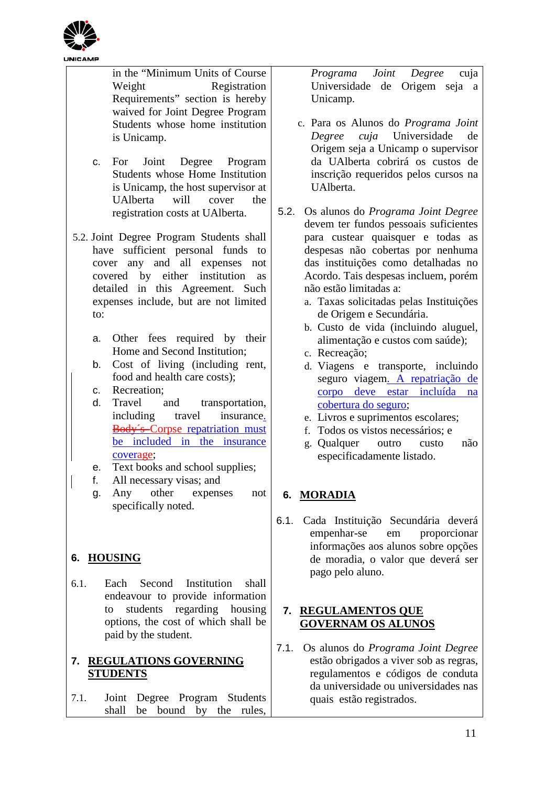

in the "Minimum Units of Course Weight Registration Requirements" section is hereby waived for Joint Degree Program Students whose home institution is Unicamp.

c. For Joint Degree Program Students whose Home Institution is Unicamp, the host supervisor at UAlberta will cover the registration costs at UAlberta.

5.2. Joint Degree Program Students shall have sufficient personal funds to cover any and all expenses not covered by either institution as detailed in this Agreement. Such expenses include, but are not limited to:

- a. Other fees required by their Home and Second Institution;
- b. Cost of living (including rent, food and health care costs);
- c. Recreation;
- d. Travel and transportation, including travel insurance. Body´s Corpse repatriation must be included in the insurance coverage;
- e. Text books and school supplies;
- f. All necessary visas; and
- g. Any other expenses not specifically noted.

## **6. HOUSING**

6.1. Each Second Institution shall endeavour to provide information to students regarding housing options, the cost of which shall be paid by the student.

## **7. REGULATIONS GOVERNING STUDENTS**

7.1. Joint Degree Program Students shall be bound by the rules,

*Programa Joint Degree* cuja Universidade de Origem seja a Unicamp.

- c. Para os Alunos do *Programa Joint Degree cuja* Universidade de Origem seja a Unicamp o supervisor da UAlberta cobrirá os custos de inscrição requeridos pelos cursos na UAlberta.
- 5.2. Os alunos do *Programa Joint Degree* devem ter fundos pessoais suficientes para custear quaisquer e todas as despesas não cobertas por nenhuma das instituições como detalhadas no Acordo. Tais despesas incluem, porém não estão limitadas a:
	- a. Taxas solicitadas pelas Instituições de Origem e Secundária.
	- b. Custo de vida (incluindo aluguel, alimentação e custos com saúde);
	- c. Recreação;
	- d. Viagens e transporte, incluindo seguro viagem. A repatriação de corpo deve estar incluída na cobertura do seguro;
	- e. Livros e suprimentos escolares;
	- f. Todos os vistos necessários; e
	- g. Qualquer outro custo não especificadamente listado.

## **6. MORADIA**

6.1. Cada Instituição Secundária deverá empenhar-se em proporcionar informações aos alunos sobre opções de moradia, o valor que deverá ser pago pelo aluno.

## **7. REGULAMENTOS QUE GOVERNAM OS ALUNOS**

7.1. Os alunos do *Programa Joint Degree* estão obrigados a viver sob as regras, regulamentos e códigos de conduta da universidade ou universidades nas quais estão registrados.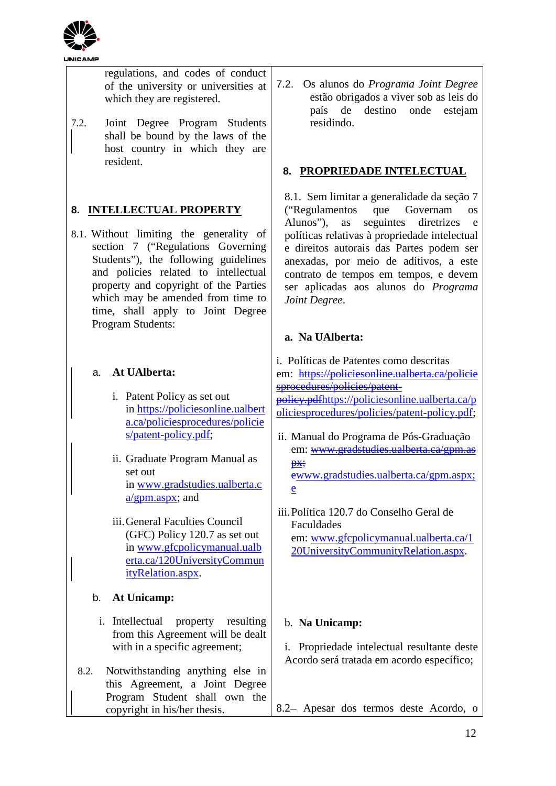

regulations, and codes of conduct of the university or universities at which they are registered.

7.2. Joint Degree Program Students shall be bound by the laws of the host country in which they are resident.

## **8. INTELLECTUAL PROPERTY**

8.1. Without limiting the generality of section 7 ("Regulations Governing Students"), the following guidelines and policies related to intellectual property and copyright of the Parties which may be amended from time to time, shall apply to Joint Degree Program Students:

## a. **At UAlberta:**

- i. Patent Policy as set out in [https://policiesonline.ualbert](https://policiesonline.ualberta.ca/policiesprocedures/policies/patent-policy.pdf) [a.ca/policiesprocedures/policie](https://policiesonline.ualberta.ca/policiesprocedures/policies/patent-policy.pdf) [s/patent-policy.pdf;](https://policiesonline.ualberta.ca/policiesprocedures/policies/patent-policy.pdf)
- ii. Graduate Program Manual as set out in [www.gradstudies.ualberta.c](http://www.gradstudies.ualberta.ca/gpm.aspx) [a/gpm.aspx;](http://www.gradstudies.ualberta.ca/gpm.aspx) and
- iii.General Faculties Council (GFC) Policy 120.7 as set out in [www.gfcpolicymanual.ualb](http://www.gfcpolicymanual.ualberta.ca/120UniversityCommunityRelation.aspx) [erta.ca/120UniversityCommun](http://www.gfcpolicymanual.ualberta.ca/120UniversityCommunityRelation.aspx) [ityRelation.aspx.](http://www.gfcpolicymanual.ualberta.ca/120UniversityCommunityRelation.aspx)

## b. **At Unicamp:**

- i. Intellectual property resulting from this Agreement will be dealt with in a specific agreement;
- 8.2. Notwithstanding anything else in this Agreement, a Joint Degree Program Student shall own the copyright in his/her thesis.

7.2. Os alunos do *Programa Joint Degree* estão obrigados a viver sob as leis do país de destino onde estejam residindo.

## **8. PROPRIEDADE INTELECTUAL**

8.1. Sem limitar a generalidade da seção 7 ("Regulamentos que Governam os Alunos"), as seguintes diretrizes e políticas relativas à propriedade intelectual e direitos autorais das Partes podem ser anexadas, por meio de aditivos, a este contrato de tempos em tempos, e devem ser aplicadas aos alunos do *Programa Joint Degree*.

## **a. Na UAlberta:**

i. Políticas de Patentes como descritas em: https://policiesonline.ualberta.ca/policie sprocedures/policies/patentpolicy.pd[fhttps://policiesonline.ualberta.ca/p](https://policiesonline.ualberta.ca/policiesprocedures/policies/patent-policy.pdf) [oliciesprocedures/policies/patent-policy.pdf;](https://policiesonline.ualberta.ca/policiesprocedures/policies/patent-policy.pdf) ii. Manual do Programa de Pós-Graduação em: www.gradstudies.ualberta.ca/gpm.as px; [ewww.gradstudies.ualberta.ca/gpm.aspx;](http://www.gradstudies.ualberta.ca/gpm.aspx) e

iii.Política 120.7 do Conselho Geral de Faculdades em: [www.gfcpolicymanual.ualberta.ca/1](http://www.gfcpolicymanual.ualberta.ca/120UniversityCommunityRelation.aspx) [20UniversityCommunityRelation.aspx.](http://www.gfcpolicymanual.ualberta.ca/120UniversityCommunityRelation.aspx)

### b. **Na Unicamp:**

i. Propriedade intelectual resultante deste Acordo será tratada em acordo específico;

8.2 Apesar dos termos deste Acordo, o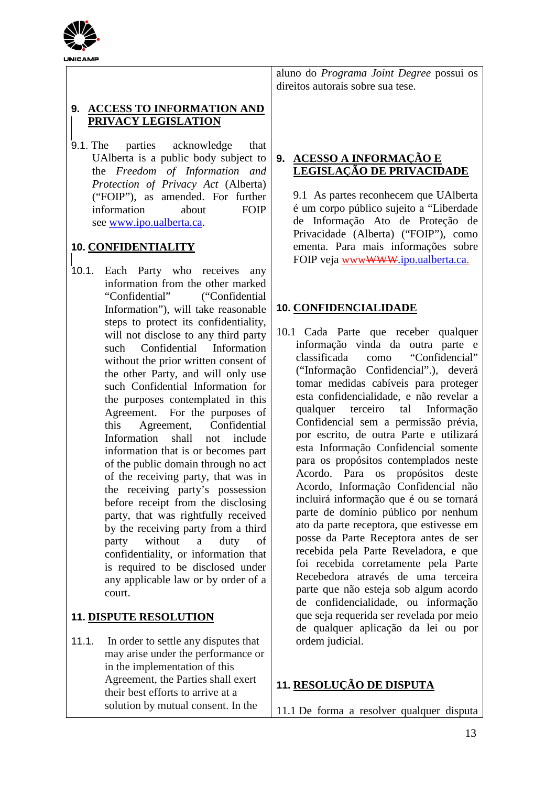

## **9. ACCESS TO INFORMATION AND PRIVACY LEGISLATION**

9.1. The parties acknowledge that UAlberta is a public body subject to the *Freedom of Information and Protection of Privacy Act* (Alberta) ("FOIP"), as amended. For further information about FOIP see [www.ipo.ualberta.ca.](http://www.ipo.ualberta.ca/)

## **10. CONFIDENTIALITY**

10.1. Each Party who receives any information from the other marked "Confidential" ("Confidential Information"), will take reasonable steps to protect its confidentiality, will not disclose to any third party such Confidential Information without the prior written consent of the other Party, and will only use such Confidential Information for the purposes contemplated in this Agreement. For the purposes of this Agreement, Confidential Information shall not include information that is or becomes part of the public domain through no act of the receiving party, that was in the receiving party's possession before receipt from the disclosing party, that was rightfully received by the receiving party from a third party without a duty of confidentiality, or information that is required to be disclosed under any applicable law or by order of a court.

## **11. DISPUTE RESOLUTION**

11.1. In order to settle any disputes that may arise under the performance or in the implementation of this Agreement, the Parties shall exert their best efforts to arrive at a solution by mutual consent. In the

aluno do *Programa Joint Degree* possui os direitos autorais sobre sua tese.

## **9. ACESSO A INFORMAÇÃO E LEGISLAÇÃO DE PRIVACIDADE**

9.1 As partes reconhecem que UAlberta é um corpo público sujeito a "Liberdade de Informação Ato de Proteção de Privacidade (Alberta) ("FOIP"), como ementa. Para mais informações sobre FOIP veja www<del>WWW</del>.ipo.ualberta.ca.

### **10. CONFIDENCIALIDADE**

10.1 Cada Parte que receber qualquer informação vinda da outra parte e classificada como "Confidencial" ("Informação Confidencial".), deverá tomar medidas cabíveis para proteger esta confidencialidade, e não revelar a qualquer terceiro tal Informação Confidencial sem a permissão prévia, por escrito, de outra Parte e utilizará esta Informação Confidencial somente para os propósitos contemplados neste Acordo. Para os propósitos deste Acordo, Informação Confidencial não incluirá informação que é ou se tornará parte de domínio público por nenhum ato da parte receptora, que estivesse em posse da Parte Receptora antes de ser recebida pela Parte Reveladora, e que foi recebida corretamente pela Parte Recebedora através de uma terceira parte que não esteja sob algum acordo de confidencialidade, ou informação que seja requerida ser revelada por meio de qualquer aplicação da lei ou por ordem judicial.

## **11. RESOLUÇÃO DE DISPUTA**

11.1 De forma a resolver qualquer disputa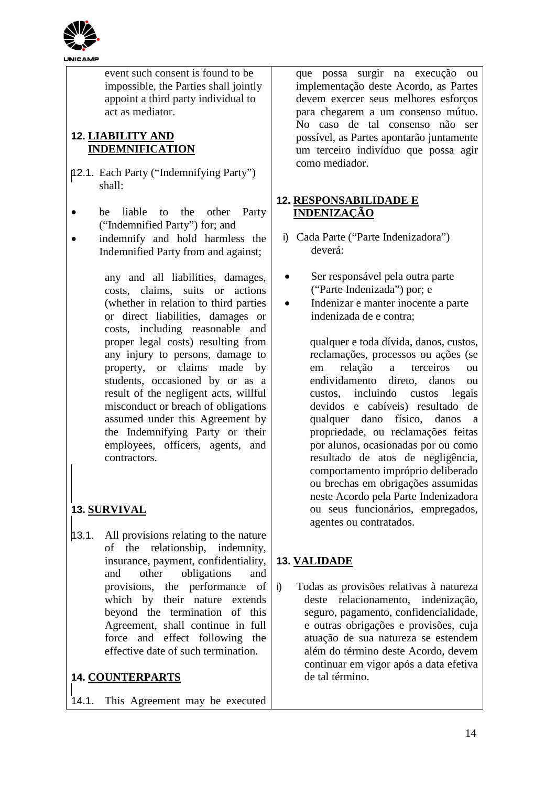

event such consent is found to be impossible, the Parties shall jointly appoint a third party individual to act as mediator.

## **12. LIABILITY AND INDEMNIFICATION**

- 12.1. Each Party ("Indemnifying Party") shall:
- be liable to the other Party ("Indemnified Party") for; and
- indemnify and hold harmless the Indemnified Party from and against;

any and all liabilities, damages, costs, claims, suits or actions (whether in relation to third parties or direct liabilities, damages or costs, including reasonable and proper legal costs) resulting from any injury to persons, damage to property, or claims made by students, occasioned by or as a result of the negligent acts, willful misconduct or breach of obligations assumed under this Agreement by the Indemnifying Party or their employees, officers, agents, and contractors.

# **13. SURVIVAL**

13.1. All provisions relating to the nature of the relationship, indemnity, insurance, payment, confidentiality, and other obligations and provisions, the performance of which by their nature extends beyond the termination of this Agreement, shall continue in full force and effect following the effective date of such termination.

## **14. COUNTERPARTS**

14.1. This Agreement may be executed

que possa surgir na execução ou implementação deste Acordo, as Partes devem exercer seus melhores esforcos para chegarem a um consenso mútuo. No caso de tal consenso não ser possível, as Partes apontarão juntamente um terceiro indivíduo que possa agir como mediador.

## **12. RESPONSABILIDADE E INDENIZAÇÃO**

- i) Cada Parte ("Parte Indenizadora") deverá:
- Ser responsável pela outra parte ("Parte Indenizada") por; e
- Indenizar e manter inocente a parte indenizada de e contra;

qualquer e toda dívida, danos, custos, reclamações, processos ou ações (se em relação a terceiros ou endividamento direto, danos ou custos, incluindo custos legais devidos e cabíveis) resultado de qualquer dano físico, danos a propriedade, ou reclamações feitas por alunos, ocasionadas por ou como resultado de atos de negligência, comportamento impróprio deliberado ou brechas em obrigações assumidas neste Acordo pela Parte Indenizadora ou seus funcionários, empregados, agentes ou contratados.

## **13. VALIDADE**

i) Todas as provisões relativas à natureza deste relacionamento, indenização, seguro, pagamento, confidencialidade, e outras obrigações e provisões, cuja atuação de sua natureza se estendem além do término deste Acordo, devem continuar em vigor após a data efetiva de tal término.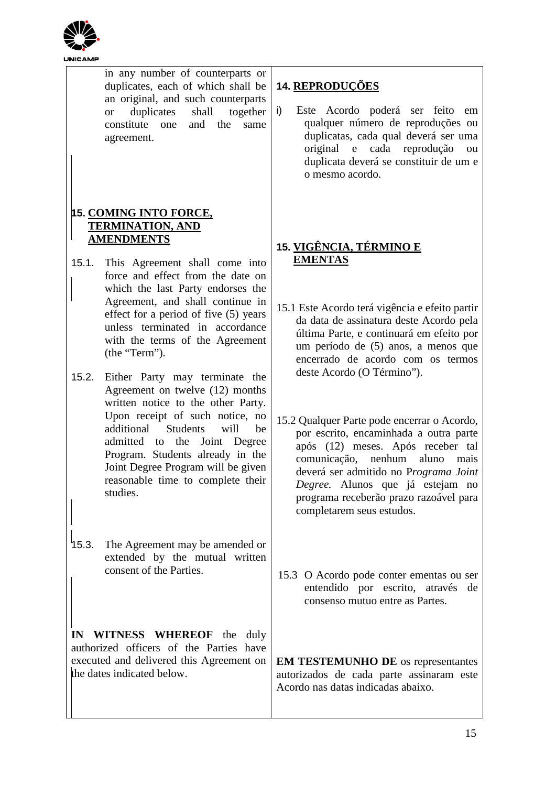

|       | in any number of counterparts or<br>duplicates, each of which shall be<br>an original, and such counterparts<br>duplicates<br>together<br>shall<br><b>or</b><br>constitute one<br>and the<br>same<br>agreement. | <b>14. REPRODUÇÕES</b><br>Este Acordo poderá ser feito em<br>i)<br>qualquer número de reproduções ou<br>duplicatas, cada qual deverá ser uma<br>original e cada reprodução<br>ou<br>duplicata deverá se constituir de um e<br>o mesmo acordo.                           |
|-------|-----------------------------------------------------------------------------------------------------------------------------------------------------------------------------------------------------------------|-------------------------------------------------------------------------------------------------------------------------------------------------------------------------------------------------------------------------------------------------------------------------|
|       |                                                                                                                                                                                                                 |                                                                                                                                                                                                                                                                         |
|       | <b>15. COMING INTO FORCE,</b><br><b>TERMINATION, AND</b>                                                                                                                                                        |                                                                                                                                                                                                                                                                         |
|       | <b>AMENDMENTS</b>                                                                                                                                                                                               | 15. <u>VIGÊNCIA, TÉRMINO E</u>                                                                                                                                                                                                                                          |
| 15.1. | This Agreement shall come into                                                                                                                                                                                  | <b>EMENTAS</b>                                                                                                                                                                                                                                                          |
|       | force and effect from the date on                                                                                                                                                                               |                                                                                                                                                                                                                                                                         |
|       | which the last Party endorses the<br>Agreement, and shall continue in<br>effect for a period of five (5) years<br>unless terminated in accordance<br>with the terms of the Agreement<br>(the "Term").           | 15.1 Este Acordo terá vigência e efeito partir<br>da data de assinatura deste Acordo pela<br>última Parte, e continuará em efeito por<br>um período de (5) anos, a menos que<br>encerrado de acordo com os termos                                                       |
| 15.2. | Either Party may terminate the<br>Agreement on twelve (12) months<br>written notice to the other Party.<br>Upon receipt of such notice, no<br><b>Students</b><br>additional<br>will<br>be                       | deste Acordo (O Término").<br>15.2 Qualquer Parte pode encerrar o Acordo,                                                                                                                                                                                               |
|       | admitted to the Joint Degree<br>Program. Students already in the<br>Joint Degree Program will be given<br>reasonable time to complete their<br>studies.                                                         | por escrito, encaminhada a outra parte<br>após (12) meses. Após receber tal<br>comunicação, nenhum<br>aluno<br>mais<br>deverá ser admitido no Programa Joint<br>Degree. Alunos que já estejam no<br>programa receberão prazo razoável para<br>completarem seus estudos. |
| 15.3. | The Agreement may be amended or<br>extended by the mutual written<br>consent of the Parties.                                                                                                                    | 15.3 O Acordo pode conter ementas ou ser<br>entendido por escrito, através de<br>consenso mutuo entre as Partes.                                                                                                                                                        |
|       | IN WITNESS WHEREOF the duly<br>authorized officers of the Parties have<br>executed and delivered this Agreement on                                                                                              | <b>EM TESTEMUNHO DE</b> os representantes                                                                                                                                                                                                                               |
|       | the dates indicated below.                                                                                                                                                                                      | autorizados de cada parte assinaram este<br>Acordo nas datas indicadas abaixo.                                                                                                                                                                                          |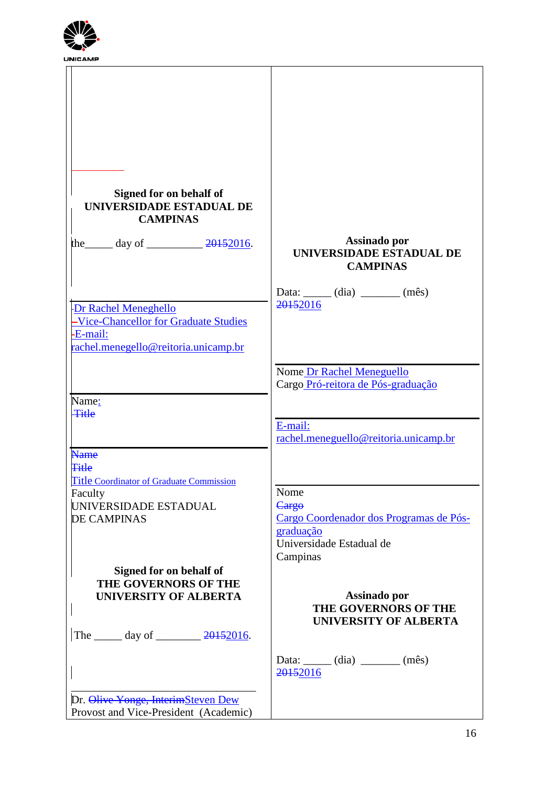

| Signed for on behalf of<br>UNIVERSIDADE ESTADUAL DE<br><b>CAMPINAS</b> |                                                             |
|------------------------------------------------------------------------|-------------------------------------------------------------|
| the day of $\frac{20152016}{.}$                                        | Assinado por<br>UNIVERSIDADE ESTADUAL DE<br><b>CAMPINAS</b> |
|                                                                        |                                                             |
|                                                                        | Data: $(iai)$ $(m\hat{e}s)$                                 |
| Dr Rachel Meneghello                                                   | 20152016                                                    |
| -Vice-Chancellor for Graduate Studies                                  |                                                             |
| -E-mail:                                                               |                                                             |
| rachel.menegello@reitoria.unicamp.br                                   |                                                             |
|                                                                        |                                                             |
|                                                                        | Nome Dr Rachel Meneguello                                   |
|                                                                        | Cargo Pró-reitora de Pós-graduação                          |
| Name:                                                                  |                                                             |
| <b>Title</b>                                                           |                                                             |
|                                                                        | E-mail:<br>rachel.meneguello@reitoria.unicamp.br            |
| <b>Name</b>                                                            |                                                             |
| <b>Title</b>                                                           |                                                             |
| <b>Title Coordinator of Graduate Commission</b>                        |                                                             |
| Faculty                                                                | Nome                                                        |
| UNIVERSIDADE ESTADUAL                                                  | Cargo                                                       |
| <b>DE CAMPINAS</b>                                                     | Cargo Coordenador dos Programas de Pós-                     |
|                                                                        | graduação                                                   |
|                                                                        | Universidade Estadual de                                    |
|                                                                        | Campinas                                                    |
| Signed for on behalf of                                                |                                                             |
| <b>THE GOVERNORS OF THE</b><br><b>UNIVERSITY OF ALBERTA</b>            | Assinado por                                                |
|                                                                        | THE GOVERNORS OF THE                                        |
|                                                                        | <b>UNIVERSITY OF ALBERTA</b>                                |
| The $\_\_\_\_$ day of $\_\_\_\_\_$ 20152016.                           |                                                             |
|                                                                        | Data: $\_\_$ (dia) $\_\_$ (mês)                             |
|                                                                        | 20152016                                                    |
|                                                                        |                                                             |
| Dr. Olive Yonge, InterimSteven Dew                                     |                                                             |
| Provost and Vice-President (Academic)                                  |                                                             |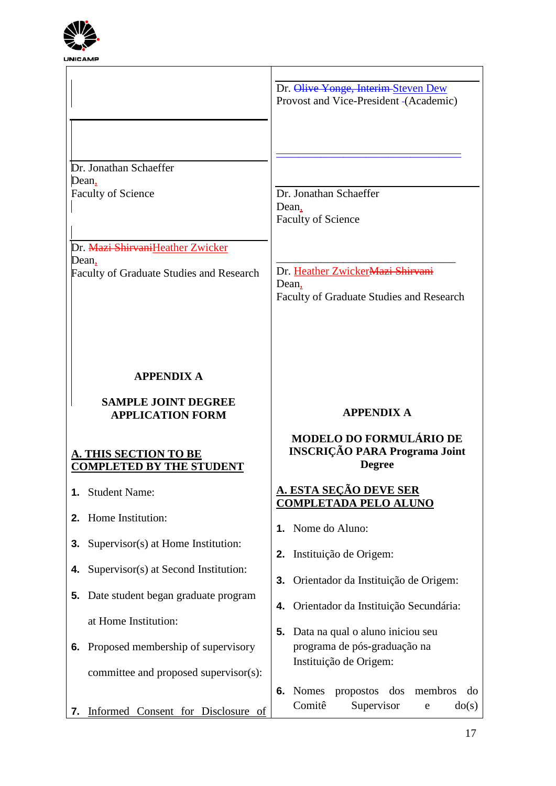

|                                                                                                  | Dr. Olive Yonge, Interim-Steven Dew<br>Provost and Vice-President (Academic)          |
|--------------------------------------------------------------------------------------------------|---------------------------------------------------------------------------------------|
| Dr. Jonathan Schaeffer<br>Dean,<br><b>Faculty of Science</b><br>Dr. Mazi ShirvaniHeather Zwicker | Dr. Jonathan Schaeffer<br>Dean,<br><b>Faculty of Science</b>                          |
| Dean,<br>Faculty of Graduate Studies and Research                                                | Dr. Heather ZwickerMazi Shirvani<br>Dean,<br>Faculty of Graduate Studies and Research |
| <b>APPENDIX A</b>                                                                                |                                                                                       |
|                                                                                                  |                                                                                       |
| <b>SAMPLE JOINT DEGREE</b><br><b>APPLICATION FORM</b>                                            | <b>APPENDIX A</b>                                                                     |
| <b>A. THIS SECTION TO BE</b><br><b>COMPLETED BY THE STUDENT</b>                                  | MODELO DO FORMULÁRIO DE<br><b>INSCRIÇÃO PARA Programa Joint</b><br><b>Degree</b>      |
| 1. Student Name:                                                                                 | <u>A. ESTA SEÇÃO DEVE SER</u>                                                         |
| Home Institution:<br>2.                                                                          | <b>COMPLETADA PELO ALUNO</b><br>Nome do Aluno:<br>1.                                  |
| Supervisor(s) at Home Institution:<br>3.                                                         | Instituição de Origem:<br>2.                                                          |
| Supervisor(s) at Second Institution:<br>4.                                                       | Orientador da Instituição de Origem:<br>3.                                            |
| Date student began graduate program<br>5.                                                        | 4. Orientador da Instituição Secundária:                                              |
| at Home Institution:                                                                             | Data na qual o aluno iniciou seu<br>5.                                                |
| Proposed membership of supervisory<br>6.<br>committee and proposed supervisor(s):                | programa de pós-graduação na<br>Instituição de Origem:                                |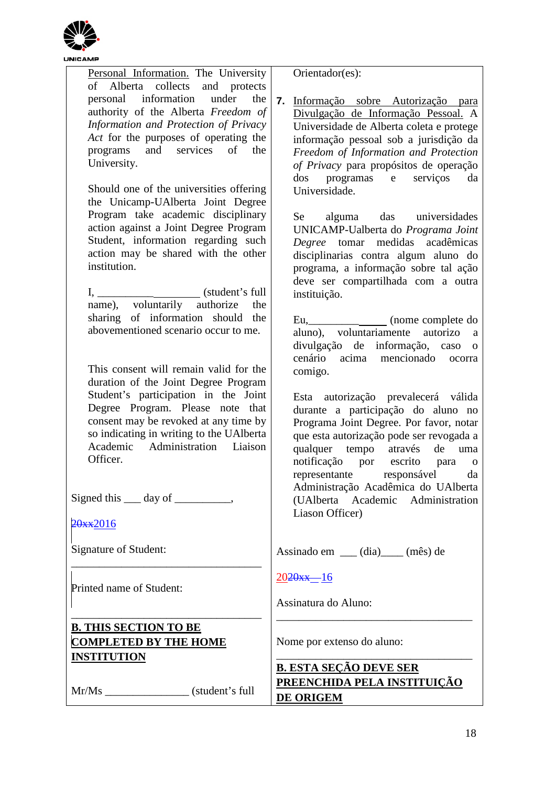

| Personal Information. The University        | Orientador(es):                            |
|---------------------------------------------|--------------------------------------------|
| of Alberta collects and protects            |                                            |
| personal information under<br>the           | 7.<br>Informação sobre Autorização para    |
| authority of the Alberta Freedom of         | Divulgação de Informação Pessoal. A        |
| Information and Protection of Privacy       |                                            |
| Act for the purposes of operating the       | Universidade de Alberta coleta e protege   |
| programs and services of<br>the             | informação pessoal sob a jurisdição da     |
| University.                                 | Freedom of Information and Protection      |
|                                             | of Privacy para propósitos de operação     |
|                                             | dos programas e serviços<br>da             |
| Should one of the universities offering     | Universidade.                              |
| the Unicamp-UAlberta Joint Degree           |                                            |
| Program take academic disciplinary          | Se alguma das universidades                |
| action against a Joint Degree Program       | UNICAMP-Ualberta do Programa Joint         |
| Student, information regarding such         | medidas acadêmicas<br>Degree tomar         |
| action may be shared with the other         | disciplinarias contra algum aluno do       |
| institution.                                | programa, a informação sobre tal ação      |
|                                             | deve ser compartilhada com a outra         |
|                                             | instituição.                               |
| name), voluntarily authorize<br>the         |                                            |
| sharing of information should the           | Eu,_________________ (nome complete do     |
| abovementioned scenario occur to me.        | aluno), voluntariamente<br>autorizo<br>a   |
|                                             | divulgação de informação, caso<br>$\Omega$ |
|                                             | cenário acima mencionado<br>ocorra         |
| This consent will remain valid for the      | comigo.                                    |
| duration of the Joint Degree Program        |                                            |
| Student's participation in the Joint        | Esta autorização prevalecerá válida        |
| Degree Program. Please note that            | durante a participação do aluno no         |
| consent may be revoked at any time by       | Programa Joint Degree. Por favor, notar    |
| so indicating in writing to the UAlberta    | que esta autorização pode ser revogada a   |
| Academic Administration Liaison             | qualquer tempo através de<br>uma           |
| Officer.                                    | notificação por escrito para<br>$\Omega$   |
|                                             | representante responsável<br>da            |
|                                             | Administração Acadêmica do UAlberta        |
| Signed this $\_\_\_$ day of $\_\_\_\_\_\_\$ | (UAlberta Academic Administration          |
|                                             | Liason Officer)                            |
| 20xx2016                                    |                                            |
|                                             |                                            |
| Signature of Student:                       | Assinado em ___ (dia)____ (mês) de         |
|                                             | $2020xx - 16$                              |
| Printed name of Student:                    |                                            |
|                                             | Assinatura do Aluno:                       |
|                                             |                                            |
| <b>B. THIS SECTION TO BE</b>                |                                            |
| <b>COMPLETED BY THE HOME</b>                | Nome por extenso do aluno:                 |
| <b>INSTITUTION</b>                          |                                            |
|                                             | <b>B. ESTA SEÇÃO DEVE SER</b>              |
| Mr/Ms (student's full)                      | PREENCHIDA PELA INSTITUIÇÃO                |
|                                             | <b>DE ORIGEM</b>                           |
|                                             |                                            |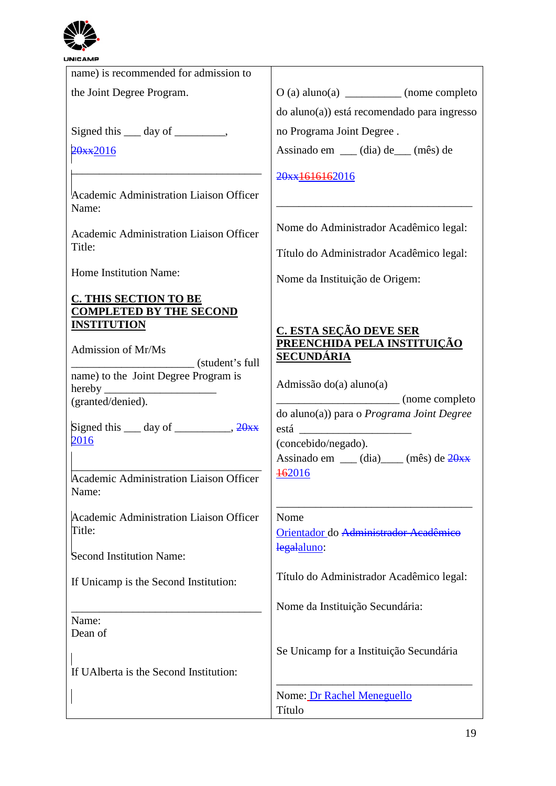

| <b>The Second Second</b>                                       |                                                  |
|----------------------------------------------------------------|--------------------------------------------------|
| <b>NICAMP</b>                                                  |                                                  |
| name) is recommended for admission to                          |                                                  |
| the Joint Degree Program.                                      | O (a) aluno(a) ____________ (nome completo       |
|                                                                | do aluno(a)) está recomendado para ingresso      |
| Signed this <u>equal</u> day of <u>equal</u> .                 | no Programa Joint Degree.                        |
| 20xx2016                                                       | Assinado em ___ (dia) de___ (mês) de             |
|                                                                | 20xx1616162016                                   |
| Academic Administration Liaison Officer<br>Name:               |                                                  |
| Academic Administration Liaison Officer                        | Nome do Administrador Acadêmico legal:           |
| Title:                                                         | Título do Administrador Acadêmico legal:         |
| Home Institution Name:                                         | Nome da Instituição de Origem:                   |
| <b>C. THIS SECTION TO BE</b><br><b>COMPLETED BY THE SECOND</b> |                                                  |
| <b>INSTITUTION</b>                                             | C. ESTA SEÇÃO DEVE SER                           |
| Admission of Mr/Ms<br>$\equiv$ (student's full                 | PREENCHIDA PELA INSTITUIÇÃO<br><b>SECUNDÁRIA</b> |
| name) to the Joint Degree Program is                           |                                                  |
|                                                                | Admissão do(a) aluno(a)<br>(nome completo)       |
| (granted/denied).                                              | do aluno(a)) para o Programa Joint Degree        |
| Signed this $\_\_\_$ day of $\_\_\_\_\_$ , $\frac{20x}{x}$     | está                                             |
| 2016                                                           | (concebido/negado).                              |
|                                                                | Assinado em __ (dia)___ (mês) de 20xx<br>462016  |
| Academic Administration Liaison Officer<br>Name:               |                                                  |
| Academic Administration Liaison Officer                        | Nome                                             |
| Title:                                                         | Orientador do Administrador Acadêmico            |
| Second Institution Name:                                       | legalaluno:                                      |
| If Unicamp is the Second Institution:                          | Título do Administrador Acadêmico legal:         |
|                                                                |                                                  |
| Name:                                                          | Nome da Instituição Secundária:                  |
| Dean of                                                        |                                                  |
|                                                                | Se Unicamp for a Instituição Secundária          |
| If UAI berta is the Second Institution:                        |                                                  |
|                                                                | Nome: Dr Rachel Meneguello                       |
|                                                                | Título                                           |